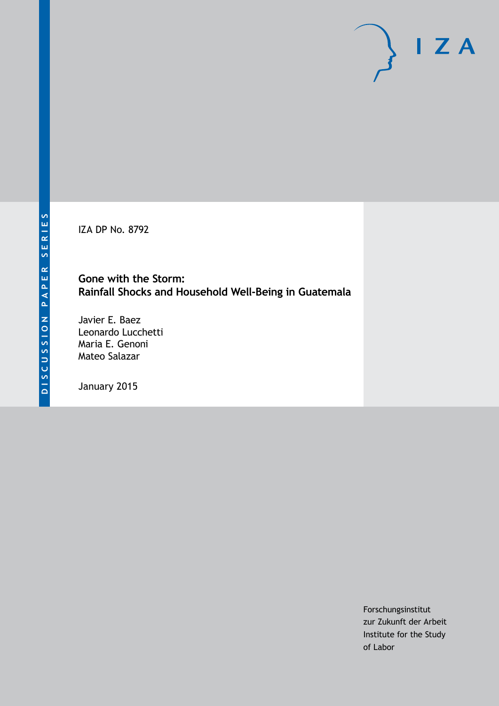IZA DP No. 8792

## **Gone with the Storm: Rainfall Shocks and Household Well-Being in Guatemala**

Javier E. Baez Leonardo Lucchetti Maria E. Genoni Mateo Salazar

January 2015

Forschungsinstitut zur Zukunft der Arbeit Institute for the Study of Labor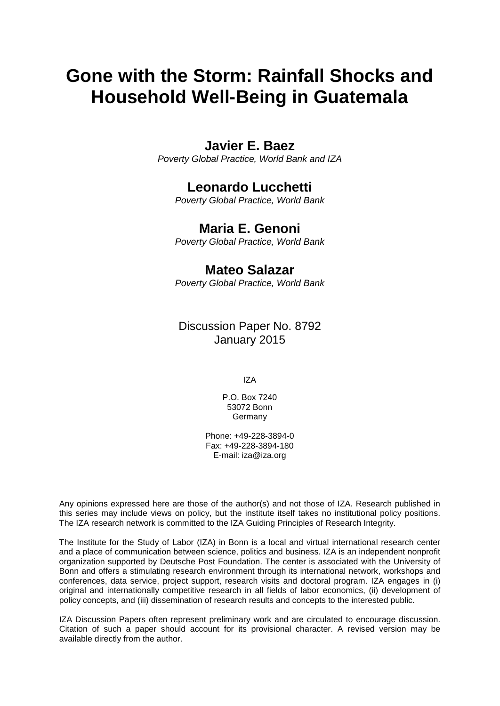# **Gone with the Storm: Rainfall Shocks and Household Well-Being in Guatemala**

# **Javier E. Baez**

*Poverty Global Practice, World Bank and IZA*

# **Leonardo Lucchetti**

*Poverty Global Practice, World Bank*

# **Maria E. Genoni**

*Poverty Global Practice, World Bank*

# **Mateo Salazar**

*Poverty Global Practice, World Bank*

Discussion Paper No. 8792 January 2015

IZA

P.O. Box 7240 53072 Bonn **Germany** 

Phone: +49-228-3894-0 Fax: +49-228-3894-180 E-mail: [iza@iza.org](mailto:iza@iza.org)

Any opinions expressed here are those of the author(s) and not those of IZA. Research published in this series may include views on policy, but the institute itself takes no institutional policy positions. The IZA research network is committed to the IZA Guiding Principles of Research Integrity.

The Institute for the Study of Labor (IZA) in Bonn is a local and virtual international research center and a place of communication between science, politics and business. IZA is an independent nonprofit organization supported by Deutsche Post Foundation. The center is associated with the University of Bonn and offers a stimulating research environment through its international network, workshops and conferences, data service, project support, research visits and doctoral program. IZA engages in (i) original and internationally competitive research in all fields of labor economics, (ii) development of policy concepts, and (iii) dissemination of research results and concepts to the interested public.

<span id="page-1-0"></span>IZA Discussion Papers often represent preliminary work and are circulated to encourage discussion. Citation of such a paper should account for its provisional character. A revised version may be available directly from the author.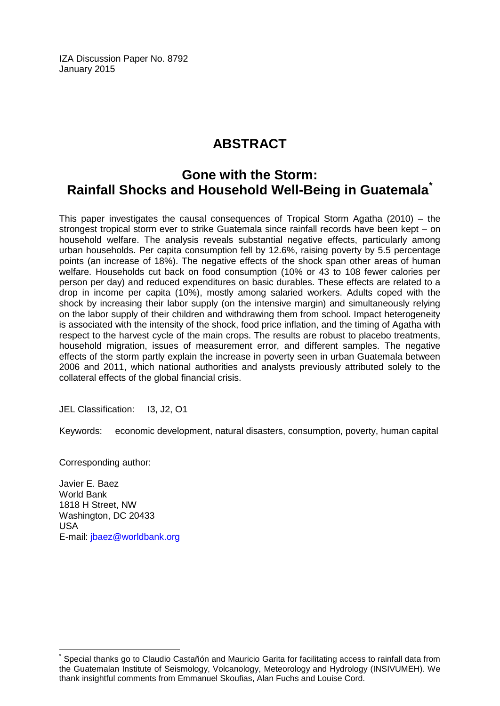IZA Discussion Paper No. 8792 January 2015

# **ABSTRACT**

# **Gone with the Storm: Rainfall Shocks and Household Well-Being in Guatemala[\\*](#page-1-0)**

This paper investigates the causal consequences of Tropical Storm Agatha (2010) – the strongest tropical storm ever to strike Guatemala since rainfall records have been kept – on household welfare. The analysis reveals substantial negative effects, particularly among urban households. Per capita consumption fell by 12.6%, raising poverty by 5.5 percentage points (an increase of 18%). The negative effects of the shock span other areas of human welfare. Households cut back on food consumption (10% or 43 to 108 fewer calories per person per day) and reduced expenditures on basic durables. These effects are related to a drop in income per capita (10%), mostly among salaried workers. Adults coped with the shock by increasing their labor supply (on the intensive margin) and simultaneously relying on the labor supply of their children and withdrawing them from school. Impact heterogeneity is associated with the intensity of the shock, food price inflation, and the timing of Agatha with respect to the harvest cycle of the main crops. The results are robust to placebo treatments, household migration, issues of measurement error, and different samples. The negative effects of the storm partly explain the increase in poverty seen in urban Guatemala between 2006 and 2011, which national authorities and analysts previously attributed solely to the collateral effects of the global financial crisis.

JEL Classification: I3, J2, O1

Keywords: economic development, natural disasters, consumption, poverty, human capital

Corresponding author:

Javier E. Baez World Bank 1818 H Street, NW Washington, DC 20433 USA E-mail: [jbaez@worldbank.org](mailto:jbaez@worldbank.org)

Special thanks go to Claudio Castañón and Mauricio Garita for facilitating access to rainfall data from the Guatemalan Institute of Seismology, Volcanology, Meteorology and Hydrology (INSIVUMEH). We thank insightful comments from Emmanuel Skoufias, Alan Fuchs and Louise Cord.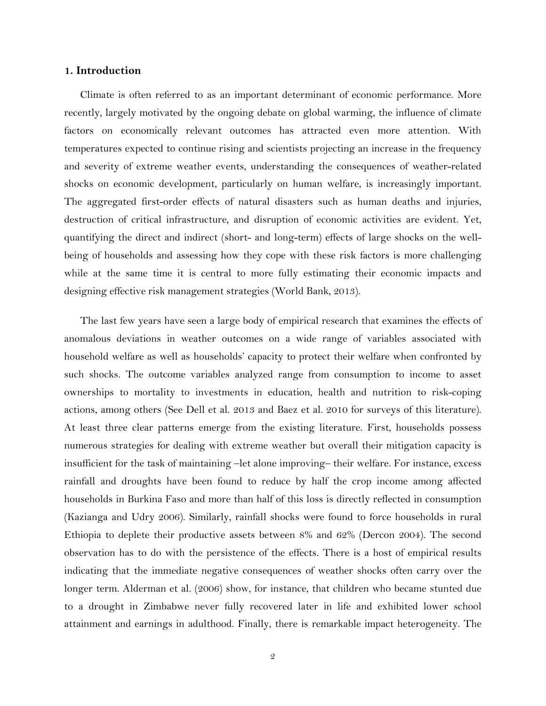### **1. Introduction**

Climate is often referred to as an important determinant of economic performance. More recently, largely motivated by the ongoing debate on global warming, the influence of climate factors on economically relevant outcomes has attracted even more attention. With temperatures expected to continue rising and scientists projecting an increase in the frequency and severity of extreme weather events, understanding the consequences of weather-related shocks on economic development, particularly on human welfare, is increasingly important. The aggregated first-order effects of natural disasters such as human deaths and injuries, destruction of critical infrastructure, and disruption of economic activities are evident. Yet, quantifying the direct and indirect (short- and long-term) effects of large shocks on the wellbeing of households and assessing how they cope with these risk factors is more challenging while at the same time it is central to more fully estimating their economic impacts and designing effective risk management strategies (World Bank, 2013).

The last few years have seen a large body of empirical research that examines the effects of anomalous deviations in weather outcomes on a wide range of variables associated with household welfare as well as households' capacity to protect their welfare when confronted by such shocks. The outcome variables analyzed range from consumption to income to asset ownerships to mortality to investments in education, health and nutrition to risk-coping actions, among others (See Dell et al. 2013 and Baez et al. 2010 for surveys of this literature). At least three clear patterns emerge from the existing literature. First, households possess numerous strategies for dealing with extreme weather but overall their mitigation capacity is insufficient for the task of maintaining –let alone improving– their welfare. For instance, excess rainfall and droughts have been found to reduce by half the crop income among affected households in Burkina Faso and more than half of this loss is directly reflected in consumption (Kazianga and Udry 2006). Similarly, rainfall shocks were found to force households in rural Ethiopia to deplete their productive assets between 8% and 62% (Dercon 2004). The second observation has to do with the persistence of the effects. There is a host of empirical results indicating that the immediate negative consequences of weather shocks often carry over the longer term. Alderman et al. (2006) show, for instance, that children who became stunted due to a drought in Zimbabwe never fully recovered later in life and exhibited lower school attainment and earnings in adulthood. Finally, there is remarkable impact heterogeneity. The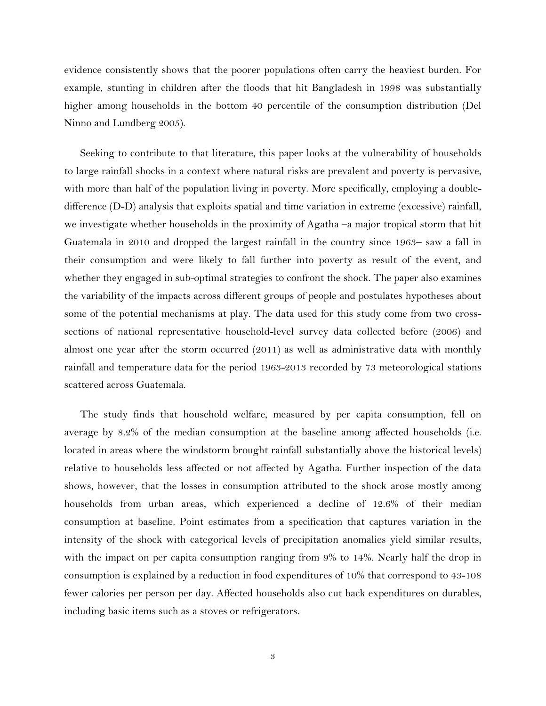evidence consistently shows that the poorer populations often carry the heaviest burden. For example, stunting in children after the floods that hit Bangladesh in 1998 was substantially higher among households in the bottom 40 percentile of the consumption distribution (Del Ninno and Lundberg 2005).

Seeking to contribute to that literature, this paper looks at the vulnerability of households to large rainfall shocks in a context where natural risks are prevalent and poverty is pervasive, with more than half of the population living in poverty. More specifically, employing a doubledifference (D-D) analysis that exploits spatial and time variation in extreme (excessive) rainfall, we investigate whether households in the proximity of Agatha –a major tropical storm that hit Guatemala in 2010 and dropped the largest rainfall in the country since 1963– saw a fall in their consumption and were likely to fall further into poverty as result of the event, and whether they engaged in sub-optimal strategies to confront the shock. The paper also examines the variability of the impacts across different groups of people and postulates hypotheses about some of the potential mechanisms at play. The data used for this study come from two crosssections of national representative household-level survey data collected before (2006) and almost one year after the storm occurred (2011) as well as administrative data with monthly rainfall and temperature data for the period 1963-2013 recorded by 73 meteorological stations scattered across Guatemala.

The study finds that household welfare, measured by per capita consumption, fell on average by 8.2% of the median consumption at the baseline among affected households (i.e. located in areas where the windstorm brought rainfall substantially above the historical levels) relative to households less affected or not affected by Agatha. Further inspection of the data shows, however, that the losses in consumption attributed to the shock arose mostly among households from urban areas, which experienced a decline of 12.6% of their median consumption at baseline. Point estimates from a specification that captures variation in the intensity of the shock with categorical levels of precipitation anomalies yield similar results, with the impact on per capita consumption ranging from 9% to 14%. Nearly half the drop in consumption is explained by a reduction in food expenditures of 10% that correspond to 43-108 fewer calories per person per day. Affected households also cut back expenditures on durables, including basic items such as a stoves or refrigerators.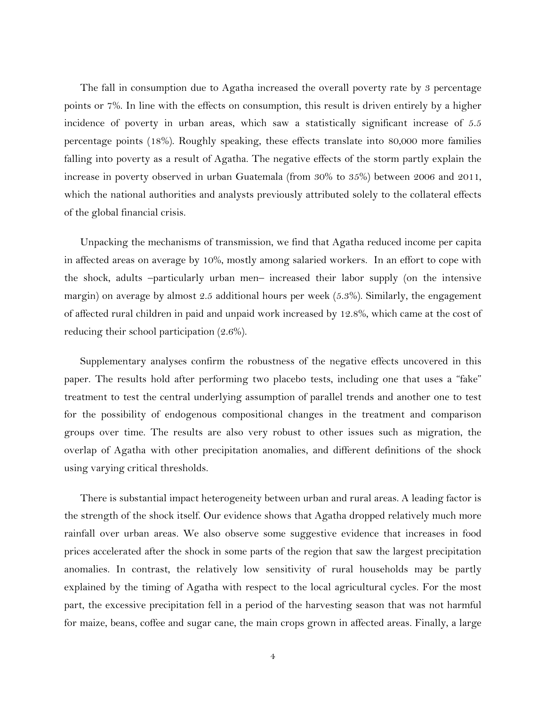The fall in consumption due to Agatha increased the overall poverty rate by 3 percentage points or 7%. In line with the effects on consumption, this result is driven entirely by a higher incidence of poverty in urban areas, which saw a statistically significant increase of 5.5 percentage points (18%). Roughly speaking, these effects translate into 80,000 more families falling into poverty as a result of Agatha. The negative effects of the storm partly explain the increase in poverty observed in urban Guatemala (from 30% to 35%) between 2006 and 2011, which the national authorities and analysts previously attributed solely to the collateral effects of the global financial crisis.

Unpacking the mechanisms of transmission, we find that Agatha reduced income per capita in affected areas on average by 10%, mostly among salaried workers. In an effort to cope with the shock, adults –particularly urban men– increased their labor supply (on the intensive margin) on average by almost 2.5 additional hours per week (5.3%). Similarly, the engagement of affected rural children in paid and unpaid work increased by 12.8%, which came at the cost of reducing their school participation (2.6%).

Supplementary analyses confirm the robustness of the negative effects uncovered in this paper. The results hold after performing two placebo tests, including one that uses a "fake" treatment to test the central underlying assumption of parallel trends and another one to test for the possibility of endogenous compositional changes in the treatment and comparison groups over time. The results are also very robust to other issues such as migration, the overlap of Agatha with other precipitation anomalies, and different definitions of the shock using varying critical thresholds.

There is substantial impact heterogeneity between urban and rural areas. A leading factor is the strength of the shock itself. Our evidence shows that Agatha dropped relatively much more rainfall over urban areas. We also observe some suggestive evidence that increases in food prices accelerated after the shock in some parts of the region that saw the largest precipitation anomalies. In contrast, the relatively low sensitivity of rural households may be partly explained by the timing of Agatha with respect to the local agricultural cycles. For the most part, the excessive precipitation fell in a period of the harvesting season that was not harmful for maize, beans, coffee and sugar cane, the main crops grown in affected areas. Finally, a large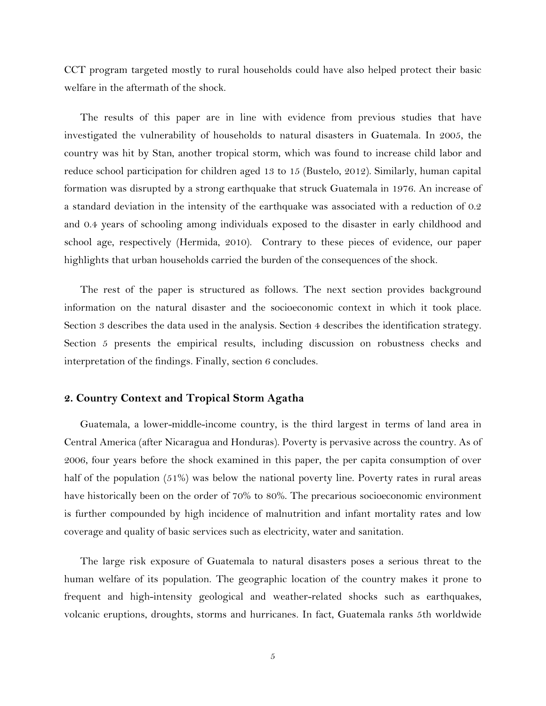CCT program targeted mostly to rural households could have also helped protect their basic welfare in the aftermath of the shock.

The results of this paper are in line with evidence from previous studies that have investigated the vulnerability of households to natural disasters in Guatemala. In 2005, the country was hit by Stan, another tropical storm, which was found to increase child labor and reduce school participation for children aged 13 to 15 (Bustelo, 2012). Similarly, human capital formation was disrupted by a strong earthquake that struck Guatemala in 1976. An increase of a standard deviation in the intensity of the earthquake was associated with a reduction of 0.2 and 0.4 years of schooling among individuals exposed to the disaster in early childhood and school age, respectively (Hermida, 2010). Contrary to these pieces of evidence, our paper highlights that urban households carried the burden of the consequences of the shock.

The rest of the paper is structured as follows. The next section provides background information on the natural disaster and the socioeconomic context in which it took place. Section 3 describes the data used in the analysis. Section 4 describes the identification strategy. Section 5 presents the empirical results, including discussion on robustness checks and interpretation of the findings. Finally, section 6 concludes.

### **2. Country Context and Tropical Storm Agatha**

Guatemala, a lower-middle-income country, is the third largest in terms of land area in Central America (after Nicaragua and Honduras). Poverty is pervasive across the country. As of 2006, four years before the shock examined in this paper, the per capita consumption of over half of the population (51%) was below the national poverty line. Poverty rates in rural areas have historically been on the order of 70% to 80%. The precarious socioeconomic environment is further compounded by high incidence of malnutrition and infant mortality rates and low coverage and quality of basic services such as electricity, water and sanitation.

The large risk exposure of Guatemala to natural disasters poses a serious threat to the human welfare of its population. The geographic location of the country makes it prone to frequent and high-intensity geological and weather-related shocks such as earthquakes, volcanic eruptions, droughts, storms and hurricanes. In fact, Guatemala ranks 5th worldwide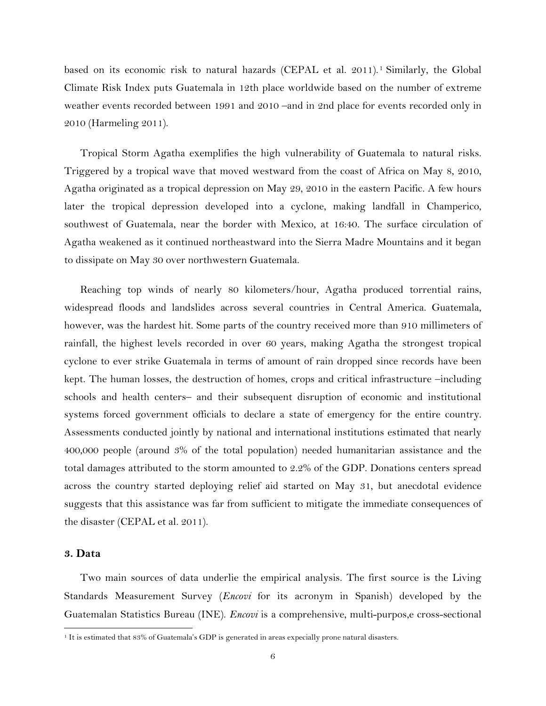based on its economic risk to natural hazards (CEPAL et al. 20[1](#page-9-0)1).<sup>1</sup> Similarly, the Global Climate Risk Index puts Guatemala in 12th place worldwide based on the number of extreme weather events recorded between 1991 and 2010 –and in 2nd place for events recorded only in 2010 (Harmeling 2011).

Tropical Storm Agatha exemplifies the high vulnerability of Guatemala to natural risks. Triggered by a tropical wave that moved westward from the coast of Africa on May 8, 2010, Agatha originated as a tropical depression on May 29, 2010 in the eastern Pacific. A few hours later the tropical depression developed into a cyclone, making landfall in Champerico, southwest of Guatemala, near the border with Mexico, at 16:40. The surface circulation of Agatha weakened as it continued northeastward into the Sierra Madre Mountains and it began to dissipate on May 30 over northwestern Guatemala.

Reaching top winds of nearly 80 kilometers/hour, Agatha produced torrential rains, widespread floods and landslides across several countries in Central America. Guatemala, however, was the hardest hit. Some parts of the country received more than 910 millimeters of rainfall, the highest levels recorded in over 60 years, making Agatha the strongest tropical cyclone to ever strike Guatemala in terms of amount of rain dropped since records have been kept. The human losses, the destruction of homes, crops and critical infrastructure –including schools and health centers– and their subsequent disruption of economic and institutional systems forced government officials to declare a state of emergency for the entire country. Assessments conducted jointly by national and international institutions estimated that nearly 400,000 people (around 3% of the total population) needed humanitarian assistance and the total damages attributed to the storm amounted to 2.2% of the GDP. Donations centers spread across the country started deploying relief aid started on May 31, but anecdotal evidence suggests that this assistance was far from sufficient to mitigate the immediate consequences of the disaster (CEPAL et al. 2011).

### <span id="page-7-0"></span>**3. Data**

l

Two main sources of data underlie the empirical analysis. The first source is the Living Standards Measurement Survey (*Encovi* for its acronym in Spanish) developed by the Guatemalan Statistics Bureau (INE). *Encovi* is a comprehensive, multi-purpos,e cross-sectional

<sup>&</sup>lt;sup>1</sup> It is estimated that 83% of Guatemala's GDP is generated in areas expecially prone natural disasters.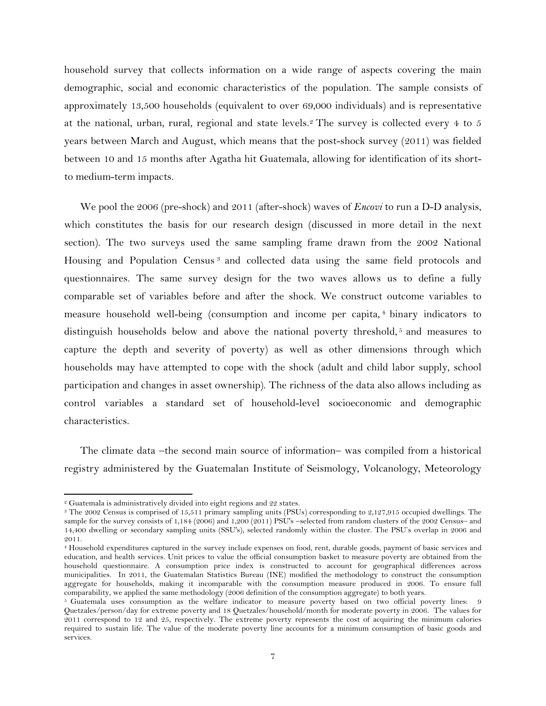household survey that collects information on a wide range of aspects covering the main demographic, social and economic characteristics of the population. The sample consists of approximately 13,500 households (equivalent to over 69,000 individuals) and is representative at the national, urban, rural, regional and state levels.[2](#page-7-0) The survey is collected every 4 to 5 years between March and August, which means that the post-shock survey (2011) was fielded between 10 and 15 months after Agatha hit Guatemala, allowing for identification of its shortto medium-term impacts.

We pool the 2006 (pre-shock) and 2011 (after-shock) waves of *Encovi* to run a D-D analysis, which constitutes the basis for our research design (discussed in more detail in the next section). The two surveys used the same sampling frame drawn from the 2002 National Housing and Population Census<sup>[3](#page-8-0)</sup> and collected data using the same field protocols and questionnaires. The same survey design for the two waves allows us to define a fully comparable set of variables before and after the shock. We construct outcome variables to measure household well-being (consumption and income per capita, [4](#page-8-1) binary indicators to distinguish households below and above the national poverty threshold,  $\delta$  and measures to capture the depth and severity of poverty) as well as other dimensions through which households may have attempted to cope with the shock (adult and child labor supply, school participation and changes in asset ownership). The richness of the data also allows including as control variables a standard set of household-level socioeconomic and demographic characteristics.

The climate data –the second main source of information– was compiled from a historical registry administered by the Guatemalan Institute of Seismology, Volcanology, Meteorology

 $\overline{\phantom{a}}$ 

<sup>2</sup> Guatemala is administratively divided into eight regions and 22 states.

<span id="page-8-0"></span><sup>3</sup> The 2002 Census is comprised of 15,511 primary sampling units (PSUs) corresponding to 2,127,915 occupied dwellings. The sample for the survey consists of 1,184 (2006) and 1,200 (2011) PSU's –selected from random clusters of the 2002 Census– and 14,400 dwelling or secondary sampling units (SSU's), selected randomly within the cluster. The PSU's overlap in 2006 and 2011.

<span id="page-8-1"></span><sup>4</sup> Household expenditures captured in the survey include expenses on food, rent, durable goods, payment of basic services and education, and health services. Unit prices to value the official consumption basket to measure poverty are obtained from the household questionnaire. A consumption price index is constructed to account for geographical differences across municipalities. In 2011, the Guatemalan Statistics Bureau (INE) modified the methodology to construct the consumption aggregate for households, making it incomparable with the consumption measure produced in 2006. To ensure full comparability, we applied the same methodology (2006 definition of the consumption aggregate) to both years.

<span id="page-8-3"></span><span id="page-8-2"></span><sup>5</sup> Guatemala uses consumption as the welfare indicator to measure poverty based on two official poverty lines: 9 Quetzales/person/day for extreme poverty and 18 Quetzales/household/month for moderate poverty in 2006. The values for 2011 correspond to 12 and 25, respectively. The extreme poverty represents the cost of acquiring the minimum calories required to sustain life. The value of the moderate poverty line accounts for a minimum consumption of basic goods and services.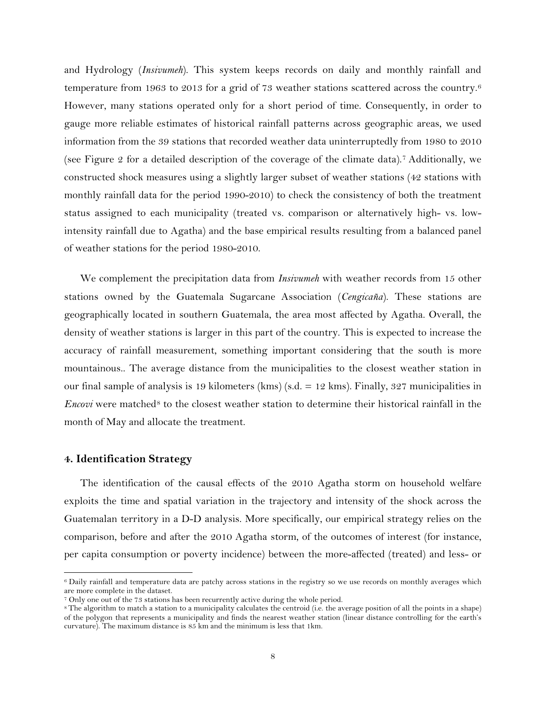and Hydrology (*Insivumeh*). This system keeps records on daily and monthly rainfall and temperature from 19[6](#page-8-3)3 to 2013 for a grid of 73 weather stations scattered across the country.<sup>6</sup> However, many stations operated only for a short period of time. Consequently, in order to gauge more reliable estimates of historical rainfall patterns across geographic areas, we used information from the 39 stations that recorded weather data uninterruptedly from 1980 to 2010 (see Figure 2 for a detailed description of the coverage of the climate data).[7](#page-9-1) Additionally, we constructed shock measures using a slightly larger subset of weather stations (42 stations with monthly rainfall data for the period 1990-2010) to check the consistency of both the treatment status assigned to each municipality (treated vs. comparison or alternatively high- vs. lowintensity rainfall due to Agatha) and the base empirical results resulting from a balanced panel of weather stations for the period 1980-2010.

We complement the precipitation data from *Insivumeh* with weather records from 15 other stations owned by the Guatemala Sugarcane Association (*Cengicaña*). These stations are geographically located in southern Guatemala, the area most affected by Agatha. Overall, the density of weather stations is larger in this part of the country. This is expected to increase the accuracy of rainfall measurement, something important considering that the south is more mountainous.. The average distance from the municipalities to the closest weather station in our final sample of analysis is 19 kilometers (kms) (s.d.  $= 12$  kms). Finally, 327 municipalities in *Encovi* were matched<sup>[8](#page-9-2)</sup> to the closest weather station to determine their historical rainfall in the month of May and allocate the treatment.

#### **4. Identification Strategy**

l

The identification of the causal effects of the 2010 Agatha storm on household welfare exploits the time and spatial variation in the trajectory and intensity of the shock across the Guatemalan territory in a D-D analysis. More specifically, our empirical strategy relies on the comparison, before and after the 2010 Agatha storm, of the outcomes of interest (for instance, per capita consumption or poverty incidence) between the more-affected (treated) and less- or

<sup>&</sup>lt;sup>6</sup> Daily rainfall and temperature data are patchy across stations in the registry so we use records on monthly averages which are more complete in the dataset.

<span id="page-9-3"></span><span id="page-9-1"></span><sup>7</sup> Only one out of the 73 stations has been recurrently active during the whole period.

<span id="page-9-2"></span><span id="page-9-0"></span><sup>8</sup> The algorithm to match a station to a municipality calculates the centroid (i.e. the average position of all the points in a shape) of the polygon that represents a municipality and finds the nearest weather station (linear distance controlling for the earth's curvature). The maximum distance is 85 km and the minimum is less that 1km.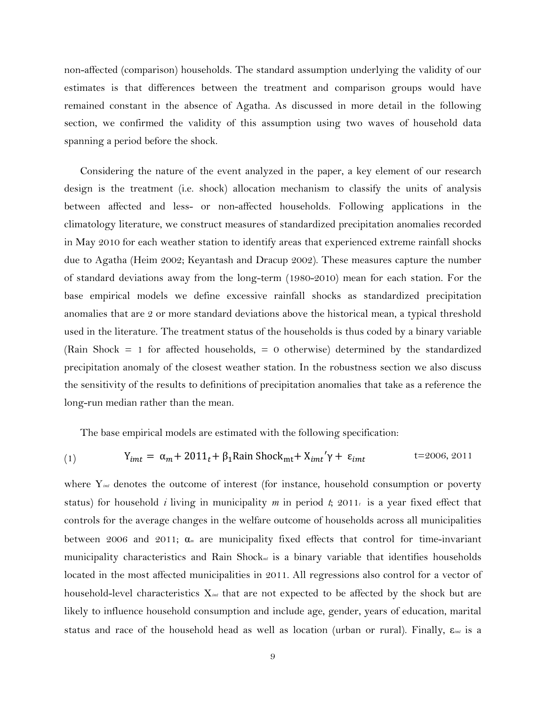non-affected (comparison) households. The standard assumption underlying the validity of our estimates is that differences between the treatment and comparison groups would have remained constant in the absence of Agatha. As discussed in more detail in the following section, we confirmed the validity of this assumption using two waves of household data spanning a period before the shock.

Considering the nature of the event analyzed in the paper, a key element of our research design is the treatment (i.e. shock) allocation mechanism to classify the units of analysis between affected and less- or non-affected households. Following applications in the climatology literature, we construct measures of standardized precipitation anomalies recorded in May 2010 for each weather station to identify areas that experienced extreme rainfall shocks due to Agatha (Heim 2002; Keyantash and Dracup 2002). These measures capture the number of standard deviations away from the long-term (1980-2010) mean for each station. For the base empirical models we define excessive rainfall shocks as standardized precipitation anomalies that are 2 or more standard deviations above the historical mean, a typical threshold used in the literature. The treatment status of the households is thus coded by a binary variable (Rain Shock  $= 1$  for affected households,  $= 0$  otherwise) determined by the standardized precipitation anomaly of the closest weather station. In the robustness section we also discuss the sensitivity of the results to definitions of precipitation anomalies that take as a reference the long-run median rather than the mean.

The base empirical models are estimated with the following specification:

(1) 
$$
Y_{imt} = \alpha_m + 2011_t + \beta_1 \text{Rain Shock}_{mt} + X_{imt}'\gamma + \varepsilon_{imt} \qquad t = 2006, 2011
$$

where Y*imt* denotes the outcome of interest (for instance, household consumption or poverty status) for household *i* living in municipality *m* in period *t*; 2011*<sup>t</sup>* is a year fixed effect that controls for the average changes in the welfare outcome of households across all municipalities between 2006 and 2011; α*<sup>m</sup>* are municipality fixed effects that control for time-invariant municipality characteristics and Rain Shock<sub>m</sub> is a binary variable that identifies households located in the most affected municipalities in 2011. All regressions also control for a vector of household-level characteristics X*imt* that are not expected to be affected by the shock but are likely to influence household consumption and include age, gender, years of education, marital status and race of the household head as well as location (urban or rural). Finally, ε*imt* is a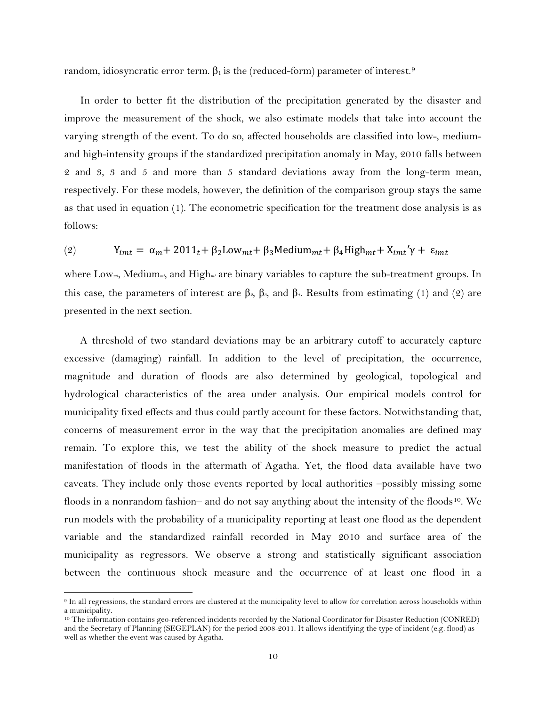random, idiosyncratic error term.  $\beta_1$  is the (reduced-form) parameter of interest.<sup>[9](#page-9-3)</sup>

In order to better fit the distribution of the precipitation generated by the disaster and improve the measurement of the shock, we also estimate models that take into account the varying strength of the event. To do so, affected households are classified into low-, mediumand high-intensity groups if the standardized precipitation anomaly in May, 2010 falls between 2 and 3, 3 and 5 and more than 5 standard deviations away from the long-term mean, respectively. For these models, however, the definition of the comparison group stays the same as that used in equation (1). The econometric specification for the treatment dose analysis is as follows:

(2) 
$$
Y_{imt} = \alpha_m + 2011_t + \beta_2 \text{Low}_{mt} + \beta_3 \text{Median}_{mt} + \beta_4 \text{High}_{mt} + X_{imt}'\gamma + \varepsilon_{imt}
$$

where Low<sub>mt</sub>, Medium<sub>mt</sub>, and High<sub>mt</sub> are binary variables to capture the sub-treatment groups. In this case, the parameters of interest are  $\beta_2$ ,  $\beta_3$ , and  $\beta_4$ . Results from estimating (1) and (2) are presented in the next section.

A threshold of two standard deviations may be an arbitrary cutoff to accurately capture excessive (damaging) rainfall. In addition to the level of precipitation, the occurrence, magnitude and duration of floods are also determined by geological, topological and hydrological characteristics of the area under analysis. Our empirical models control for municipality fixed effects and thus could partly account for these factors. Notwithstanding that, concerns of measurement error in the way that the precipitation anomalies are defined may remain. To explore this, we test the ability of the shock measure to predict the actual manifestation of floods in the aftermath of Agatha. Yet, the flood data available have two caveats. They include only those events reported by local authorities –possibly missing some floods in a nonrandom fashion– and do not say anything about the intensity of the floods<sup>10</sup>. We run models with the probability of a municipality reporting at least one flood as the dependent variable and the standardized rainfall recorded in May 2010 and surface area of the municipality as regressors. We observe a strong and statistically significant association between the continuous shock measure and the occurrence of at least one flood in a

l

<span id="page-11-1"></span><sup>9</sup> In all regressions, the standard errors are clustered at the municipality level to allow for correlation across households within a municipality.

<span id="page-11-0"></span><sup>10</sup> The information contains geo-referenced incidents recorded by the National Coordinator for Disaster Reduction (CONRED) and the Secretary of Planning (SEGEPLAN) for the period 2008-2011. It allows identifying the type of incident (e.g. flood) as well as whether the event was caused by Agatha.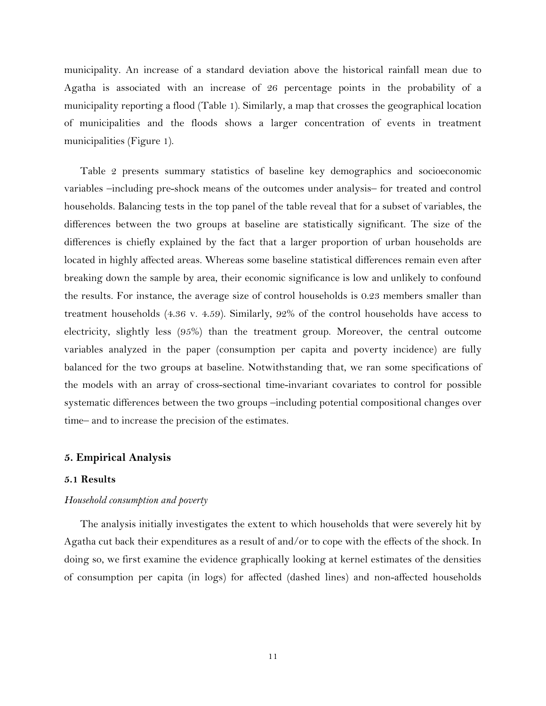municipality. An increase of a standard deviation above the historical rainfall mean due to Agatha is associated with an increase of 26 percentage points in the probability of a municipality reporting a flood (Table 1). Similarly, a map that crosses the geographical location of municipalities and the floods shows a larger concentration of events in treatment municipalities (Figure 1).

Table 2 presents summary statistics of baseline key demographics and socioeconomic variables –including pre-shock means of the outcomes under analysis– for treated and control households. Balancing tests in the top panel of the table reveal that for a subset of variables, the differences between the two groups at baseline are statistically significant. The size of the differences is chiefly explained by the fact that a larger proportion of urban households are located in highly affected areas. Whereas some baseline statistical differences remain even after breaking down the sample by area, their economic significance is low and unlikely to confound the results. For instance, the average size of control households is 0.23 members smaller than treatment households (4.36 v. 4.59). Similarly, 92% of the control households have access to electricity, slightly less (95%) than the treatment group. Moreover, the central outcome variables analyzed in the paper (consumption per capita and poverty incidence) are fully balanced for the two groups at baseline. Notwithstanding that, we ran some specifications of the models with an array of cross-sectional time-invariant covariates to control for possible systematic differences between the two groups –including potential compositional changes over time– and to increase the precision of the estimates.

### **5. Empirical Analysis**

#### **5.1 Results**

### *Household consumption and poverty*

The analysis initially investigates the extent to which households that were severely hit by Agatha cut back their expenditures as a result of and/or to cope with the effects of the shock. In doing so, we first examine the evidence graphically looking at kernel estimates of the densities of consumption per capita (in logs) for affected (dashed lines) and non-affected households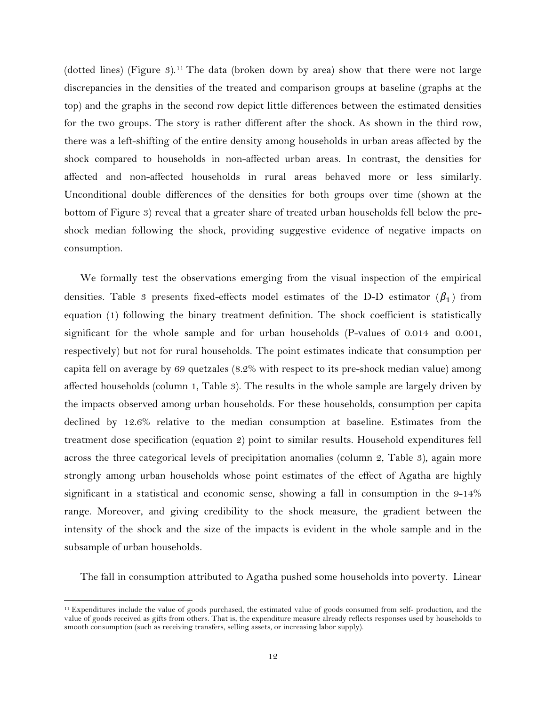(dotted lines) (Figure  $3$ ).<sup>[11](#page-11-1)</sup> The data (broken down by area) show that there were not large discrepancies in the densities of the treated and comparison groups at baseline (graphs at the top) and the graphs in the second row depict little differences between the estimated densities for the two groups. The story is rather different after the shock. As shown in the third row, there was a left-shifting of the entire density among households in urban areas affected by the shock compared to households in non-affected urban areas. In contrast, the densities for affected and non-affected households in rural areas behaved more or less similarly. Unconditional double differences of the densities for both groups over time (shown at the bottom of Figure 3) reveal that a greater share of treated urban households fell below the preshock median following the shock, providing suggestive evidence of negative impacts on consumption.

We formally test the observations emerging from the visual inspection of the empirical densities. Table 3 presents fixed-effects model estimates of the D-D estimator  $(\beta_1)$  from equation (1) following the binary treatment definition. The shock coefficient is statistically significant for the whole sample and for urban households (P-values of 0.014 and 0.001, respectively) but not for rural households. The point estimates indicate that consumption per capita fell on average by 69 quetzales (8.2% with respect to its pre-shock median value) among affected households (column 1, Table 3). The results in the whole sample are largely driven by the impacts observed among urban households. For these households, consumption per capita declined by 12.6% relative to the median consumption at baseline. Estimates from the treatment dose specification (equation 2) point to similar results. Household expenditures fell across the three categorical levels of precipitation anomalies (column 2, Table 3), again more strongly among urban households whose point estimates of the effect of Agatha are highly significant in a statistical and economic sense, showing a fall in consumption in the 9-14% range. Moreover, and giving credibility to the shock measure, the gradient between the intensity of the shock and the size of the impacts is evident in the whole sample and in the subsample of urban households.

The fall in consumption attributed to Agatha pushed some households into poverty. Linear

l

<span id="page-13-0"></span><sup>11</sup> Expenditures include the value of goods purchased, the estimated value of goods consumed from self- production, and the value of goods received as gifts from others. That is, the expenditure measure already reflects responses used by households to smooth consumption (such as receiving transfers, selling assets, or increasing labor supply).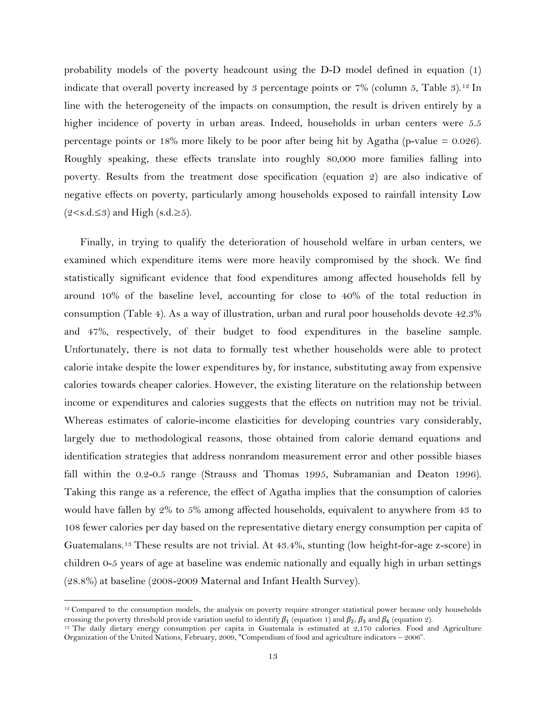probability models of the poverty headcount using the D-D model defined in equation (1) indicate that overall poverty increased by 3 percentage points or 7% (column 5, Table 3).<sup>[12](#page-13-0)</sup> In line with the heterogeneity of the impacts on consumption, the result is driven entirely by a higher incidence of poverty in urban areas. Indeed, households in urban centers were 5.5 percentage points or 18% more likely to be poor after being hit by Agatha (p-value  $= 0.026$ ). Roughly speaking, these effects translate into roughly 80,000 more families falling into poverty. Results from the treatment dose specification (equation 2) are also indicative of negative effects on poverty, particularly among households exposed to rainfall intensity Low  $(2< s.d. \leq 3)$  and High  $(s.d. \geq 5)$ .

Finally, in trying to qualify the deterioration of household welfare in urban centers, we examined which expenditure items were more heavily compromised by the shock. We find statistically significant evidence that food expenditures among affected households fell by around 10% of the baseline level, accounting for close to 40% of the total reduction in consumption (Table 4). As a way of illustration, urban and rural poor households devote 42.3% and 47%, respectively, of their budget to food expenditures in the baseline sample. Unfortunately, there is not data to formally test whether households were able to protect calorie intake despite the lower expenditures by, for instance, substituting away from expensive calories towards cheaper calories. However, the existing literature on the relationship between income or expenditures and calories suggests that the effects on nutrition may not be trivial. Whereas estimates of calorie-income elasticities for developing countries vary considerably, largely due to methodological reasons, those obtained from calorie demand equations and identification strategies that address nonrandom measurement error and other possible biases fall within the 0.2-0.5 range (Strauss and Thomas 1995, Subramanian and Deaton 1996). Taking this range as a reference, the effect of Agatha implies that the consumption of calories would have fallen by 2% to 5% among affected households, equivalent to anywhere from 43 to 108 fewer calories per day based on the representative dietary energy consumption per capita of Guatemalans.[13](#page-14-0) These results are not trivial. At 43.4%, stunting (low height-for-age z-score) in children 0-5 years of age at baseline was endemic nationally and equally high in urban settings (28.8%) at baseline (2008-2009 Maternal and Infant Health Survey).

 $\overline{\phantom{a}}$ 

<sup>12</sup> Compared to the consumption models, the analysis on poverty require stronger statistical power because only households crossing the poverty threshold provide variation useful to identify  $\beta_1$  (equation 1) and  $\beta_2$ ,  $\beta_3$  and  $\beta_4$  (equation 2).<br><sup>13</sup> The daily dietary energy consumption per capita in Guatemala is estimated at 2,170 c

<span id="page-14-1"></span><span id="page-14-0"></span>Organization of the United Nations, February, 2009[, "Compendium of food and agriculture indicators –](http://www.fao.org/statistics/compendium_2006/list.asp) 2006".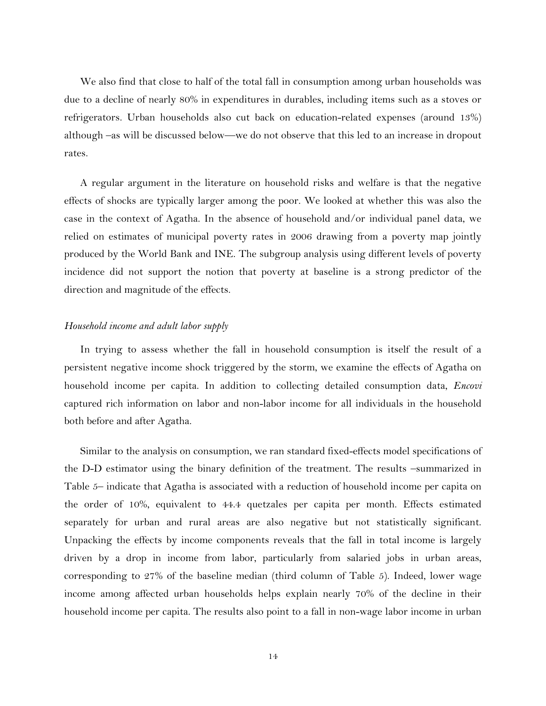We also find that close to half of the total fall in consumption among urban households was due to a decline of nearly 80% in expenditures in durables, including items such as a stoves or refrigerators. Urban households also cut back on education-related expenses (around 13%) although –as will be discussed below—we do not observe that this led to an increase in dropout rates.

A regular argument in the literature on household risks and welfare is that the negative effects of shocks are typically larger among the poor. We looked at whether this was also the case in the context of Agatha. In the absence of household and/or individual panel data, we relied on estimates of municipal poverty rates in 2006 drawing from a poverty map jointly produced by the World Bank and INE. The subgroup analysis using different levels of poverty incidence did not support the notion that poverty at baseline is a strong predictor of the direction and magnitude of the effects.

### *Household income and adult labor supply*

In trying to assess whether the fall in household consumption is itself the result of a persistent negative income shock triggered by the storm, we examine the effects of Agatha on household income per capita. In addition to collecting detailed consumption data, *Encovi* captured rich information on labor and non-labor income for all individuals in the household both before and after Agatha.

Similar to the analysis on consumption, we ran standard fixed-effects model specifications of the D-D estimator using the binary definition of the treatment. The results –summarized in Table 5– indicate that Agatha is associated with a reduction of household income per capita on the order of 10%, equivalent to 44.4 quetzales per capita per month. Effects estimated separately for urban and rural areas are also negative but not statistically significant. Unpacking the effects by income components reveals that the fall in total income is largely driven by a drop in income from labor, particularly from salaried jobs in urban areas, corresponding to 27% of the baseline median (third column of Table 5). Indeed, lower wage income among affected urban households helps explain nearly 70% of the decline in their household income per capita. The results also point to a fall in non-wage labor income in urban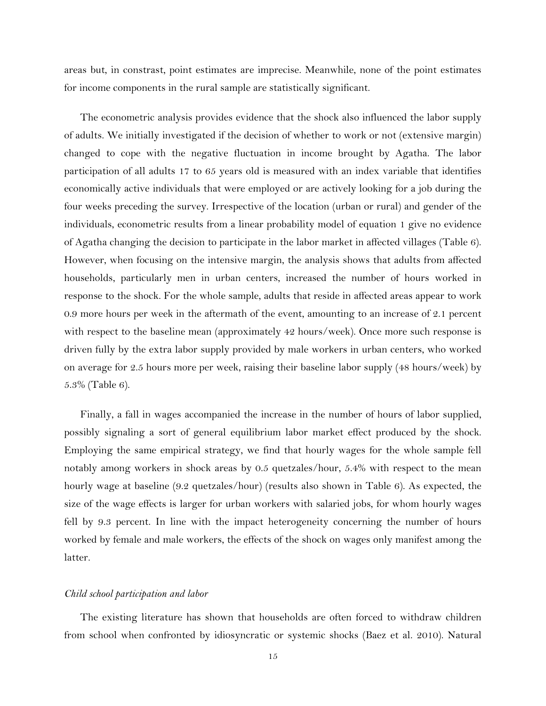areas but, in constrast, point estimates are imprecise. Meanwhile, none of the point estimates for income components in the rural sample are statistically significant.

The econometric analysis provides evidence that the shock also influenced the labor supply of adults. We initially investigated if the decision of whether to work or not (extensive margin) changed to cope with the negative fluctuation in income brought by Agatha. The labor participation of all adults 17 to 65 years old is measured with an index variable that identifies economically active individuals that were employed or are actively looking for a job during the four weeks preceding the survey. Irrespective of the location (urban or rural) and gender of the individuals, econometric results from a linear probability model of equation 1 give no evidence of Agatha changing the decision to participate in the labor market in affected villages (Table 6). However, when focusing on the intensive margin, the analysis shows that adults from affected households, particularly men in urban centers, increased the number of hours worked in response to the shock. For the whole sample, adults that reside in affected areas appear to work 0.9 more hours per week in the aftermath of the event, amounting to an increase of 2.1 percent with respect to the baseline mean (approximately 42 hours/week). Once more such response is driven fully by the extra labor supply provided by male workers in urban centers, who worked on average for 2.5 hours more per week, raising their baseline labor supply (48 hours/week) by 5.3% (Table 6).

Finally, a fall in wages accompanied the increase in the number of hours of labor supplied, possibly signaling a sort of general equilibrium labor market effect produced by the shock. Employing the same empirical strategy, we find that hourly wages for the whole sample fell notably among workers in shock areas by 0.5 quetzales/hour, 5.4% with respect to the mean hourly wage at baseline (9.2 quetzales/hour) (results also shown in Table 6). As expected, the size of the wage effects is larger for urban workers with salaried jobs, for whom hourly wages fell by 9.3 percent. In line with the impact heterogeneity concerning the number of hours worked by female and male workers, the effects of the shock on wages only manifest among the latter.

### *Child school participation and labor*

The existing literature has shown that households are often forced to withdraw children from school when confronted by idiosyncratic or systemic shocks (Baez et al. 2010). Natural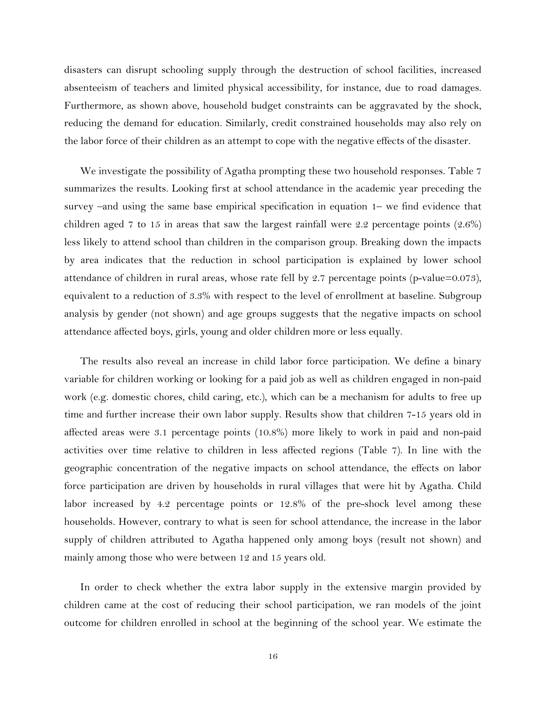disasters can disrupt schooling supply through the destruction of school facilities, increased absenteeism of teachers and limited physical accessibility, for instance, due to road damages. Furthermore, as shown above, household budget constraints can be aggravated by the shock, reducing the demand for education. Similarly, credit constrained households may also rely on the labor force of their children as an attempt to cope with the negative effects of the disaster.

We investigate the possibility of Agatha prompting these two household responses. Table 7 summarizes the results. Looking first at school attendance in the academic year preceding the survey –and using the same base empirical specification in equation 1– we find evidence that children aged 7 to 15 in areas that saw the largest rainfall were 2.2 percentage points (2.6%) less likely to attend school than children in the comparison group. Breaking down the impacts by area indicates that the reduction in school participation is explained by lower school attendance of children in rural areas, whose rate fell by 2.7 percentage points (p-value=0.073), equivalent to a reduction of 3.3% with respect to the level of enrollment at baseline. Subgroup analysis by gender (not shown) and age groups suggests that the negative impacts on school attendance affected boys, girls, young and older children more or less equally.

The results also reveal an increase in child labor force participation. We define a binary variable for children working or looking for a paid job as well as children engaged in non-paid work (e.g. domestic chores, child caring, etc.), which can be a mechanism for adults to free up time and further increase their own labor supply. Results show that children 7-15 years old in affected areas were 3.1 percentage points (10.8%) more likely to work in paid and non-paid activities over time relative to children in less affected regions (Table 7). In line with the geographic concentration of the negative impacts on school attendance, the effects on labor force participation are driven by households in rural villages that were hit by Agatha. Child labor increased by 4.2 percentage points or 12.8% of the pre-shock level among these households. However, contrary to what is seen for school attendance, the increase in the labor supply of children attributed to Agatha happened only among boys (result not shown) and mainly among those who were between 12 and 15 years old.

In order to check whether the extra labor supply in the extensive margin provided by children came at the cost of reducing their school participation, we ran models of the joint outcome for children enrolled in school at the beginning of the school year. We estimate the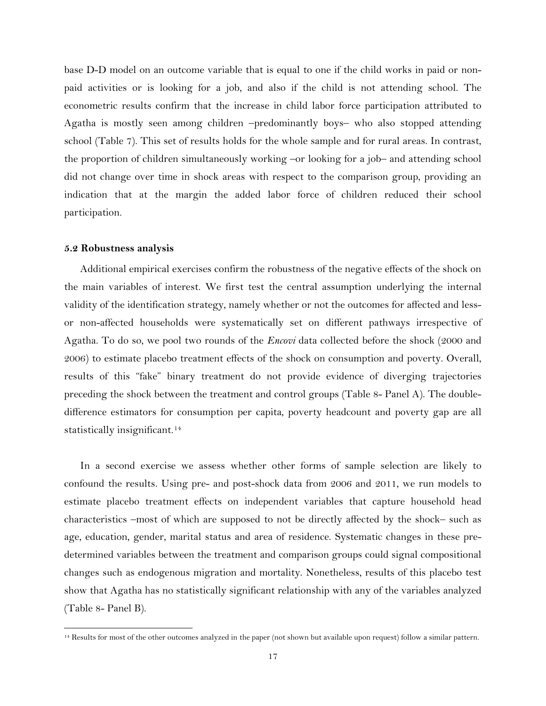base D-D model on an outcome variable that is equal to one if the child works in paid or nonpaid activities or is looking for a job, and also if the child is not attending school. The econometric results confirm that the increase in child labor force participation attributed to Agatha is mostly seen among children –predominantly boys– who also stopped attending school (Table 7). This set of results holds for the whole sample and for rural areas. In contrast, the proportion of children simultaneously working –or looking for a job– and attending school did not change over time in shock areas with respect to the comparison group, providing an indication that at the margin the added labor force of children reduced their school participation.

#### **5.2 Robustness analysis**

l

Additional empirical exercises confirm the robustness of the negative effects of the shock on the main variables of interest. We first test the central assumption underlying the internal validity of the identification strategy, namely whether or not the outcomes for affected and lessor non-affected households were systematically set on different pathways irrespective of Agatha. To do so, we pool two rounds of the *Encovi* data collected before the shock (2000 and 2006) to estimate placebo treatment effects of the shock on consumption and poverty. Overall, results of this "fake" binary treatment do not provide evidence of diverging trajectories preceding the shock between the treatment and control groups (Table 8- Panel A). The doubledifference estimators for consumption per capita, poverty headcount and poverty gap are all statistically insignificant.[14](#page-14-1)

In a second exercise we assess whether other forms of sample selection are likely to confound the results. Using pre- and post-shock data from 2006 and 2011, we run models to estimate placebo treatment effects on independent variables that capture household head characteristics –most of which are supposed to not be directly affected by the shock– such as age, education, gender, marital status and area of residence. Systematic changes in these predetermined variables between the treatment and comparison groups could signal compositional changes such as endogenous migration and mortality. Nonetheless, results of this placebo test show that Agatha has no statistically significant relationship with any of the variables analyzed (Table 8- Panel B).

<span id="page-18-0"></span><sup>14</sup> Results for most of the other outcomes analyzed in the paper (not shown but available upon request) follow a similar pattern.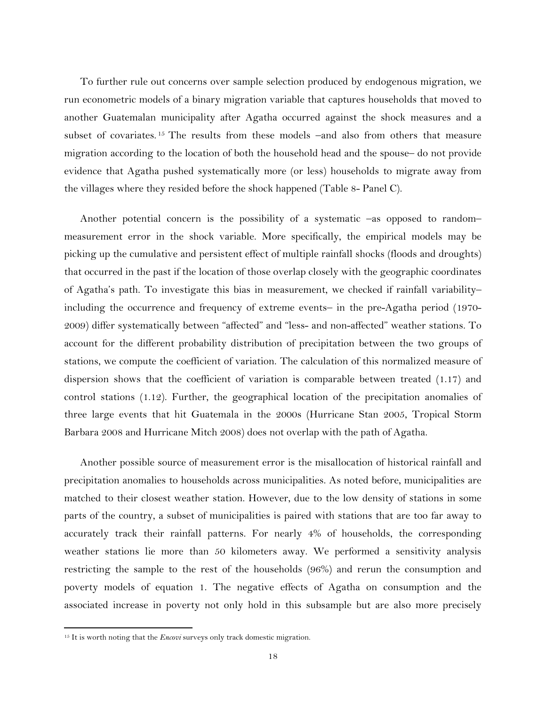To further rule out concerns over sample selection produced by endogenous migration, we run econometric models of a binary migration variable that captures households that moved to another Guatemalan municipality after Agatha occurred against the shock measures and a subset of covariates. [15](#page-18-0) The results from these models –and also from others that measure migration according to the location of both the household head and the spouse– do not provide evidence that Agatha pushed systematically more (or less) households to migrate away from the villages where they resided before the shock happened (Table 8- Panel C).

Another potential concern is the possibility of a systematic –as opposed to random– measurement error in the shock variable. More specifically, the empirical models may be picking up the cumulative and persistent effect of multiple rainfall shocks (floods and droughts) that occurred in the past if the location of those overlap closely with the geographic coordinates of Agatha's path. To investigate this bias in measurement, we checked if rainfall variability– including the occurrence and frequency of extreme events– in the pre-Agatha period (1970- 2009) differ systematically between "affected" and "less- and non-affected" weather stations. To account for the different probability distribution of precipitation between the two groups of stations, we compute the coefficient of variation. The calculation of this normalized measure of dispersion shows that the coefficient of variation is comparable between treated (1.17) and control stations (1.12). Further, the geographical location of the precipitation anomalies of three large events that hit Guatemala in the 2000s (Hurricane Stan 2005, Tropical Storm Barbara 2008 and Hurricane Mitch 2008) does not overlap with the path of Agatha.

Another possible source of measurement error is the misallocation of historical rainfall and precipitation anomalies to households across municipalities. As noted before, municipalities are matched to their closest weather station. However, due to the low density of stations in some parts of the country, a subset of municipalities is paired with stations that are too far away to accurately track their rainfall patterns. For nearly 4% of households, the corresponding weather stations lie more than 50 kilometers away. We performed a sensitivity analysis restricting the sample to the rest of the households (96%) and rerun the consumption and poverty models of equation 1. The negative effects of Agatha on consumption and the associated increase in poverty not only hold in this subsample but are also more precisely

 $\overline{\phantom{a}}$ 

<span id="page-19-0"></span><sup>&</sup>lt;sup>15</sup> It is worth noting that the *Encovi* surveys only track domestic migration.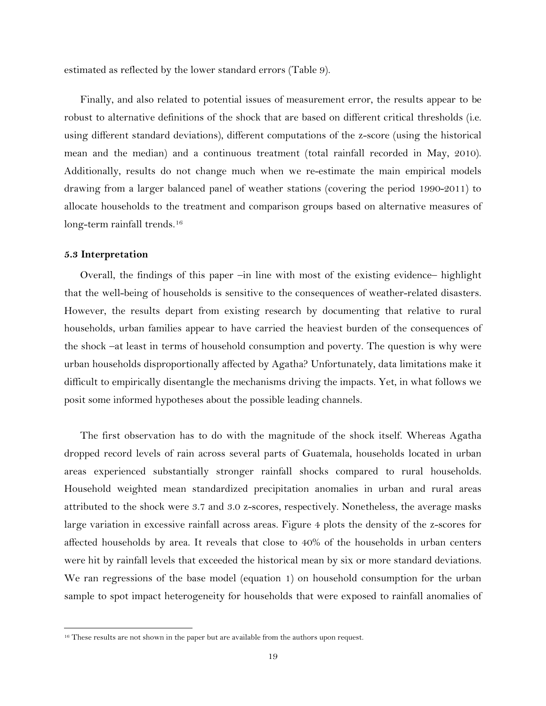estimated as reflected by the lower standard errors (Table 9).

Finally, and also related to potential issues of measurement error, the results appear to be robust to alternative definitions of the shock that are based on different critical thresholds (i.e. using different standard deviations), different computations of the z-score (using the historical mean and the median) and a continuous treatment (total rainfall recorded in May, 2010). Additionally, results do not change much when we re-estimate the main empirical models drawing from a larger balanced panel of weather stations (covering the period 1990-2011) to allocate households to the treatment and comparison groups based on alternative measures of long-term rainfall trends.<sup>[16](#page-19-0)</sup>

#### **5.3 Interpretation**

l

Overall, the findings of this paper –in line with most of the existing evidence– highlight that the well-being of households is sensitive to the consequences of weather-related disasters. However, the results depart from existing research by documenting that relative to rural households, urban families appear to have carried the heaviest burden of the consequences of the shock –at least in terms of household consumption and poverty. The question is why were urban households disproportionally affected by Agatha? Unfortunately, data limitations make it difficult to empirically disentangle the mechanisms driving the impacts. Yet, in what follows we posit some informed hypotheses about the possible leading channels.

The first observation has to do with the magnitude of the shock itself. Whereas Agatha dropped record levels of rain across several parts of Guatemala, households located in urban areas experienced substantially stronger rainfall shocks compared to rural households. Household weighted mean standardized precipitation anomalies in urban and rural areas attributed to the shock were 3.7 and 3.0 z-scores, respectively. Nonetheless, the average masks large variation in excessive rainfall across areas. Figure 4 plots the density of the z-scores for affected households by area. It reveals that close to 40% of the households in urban centers were hit by rainfall levels that exceeded the historical mean by six or more standard deviations. We ran regressions of the base model (equation 1) on household consumption for the urban sample to spot impact heterogeneity for households that were exposed to rainfall anomalies of

<span id="page-20-0"></span><sup>&</sup>lt;sup>16</sup> These results are not shown in the paper but are available from the authors upon request.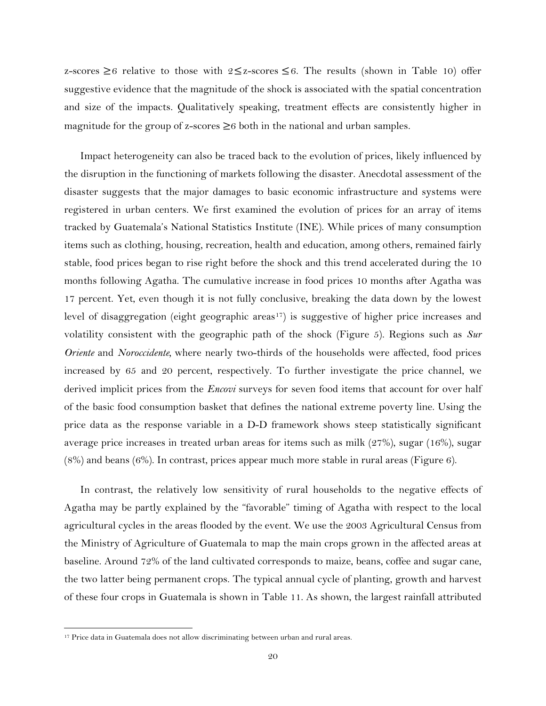z-scores  $\geq 6$  relative to those with  $2 \leq z$ -scores  $\leq 6$ . The results (shown in Table 10) offer suggestive evidence that the magnitude of the shock is associated with the spatial concentration and size of the impacts. Qualitatively speaking, treatment effects are consistently higher in magnitude for the group of z-scores  $\geq 6$  both in the national and urban samples.

Impact heterogeneity can also be traced back to the evolution of prices, likely influenced by the disruption in the functioning of markets following the disaster. Anecdotal assessment of the disaster suggests that the major damages to basic economic infrastructure and systems were registered in urban centers. We first examined the evolution of prices for an array of items tracked by Guatemala's National Statistics Institute (INE). While prices of many consumption items such as clothing, housing, recreation, health and education, among others, remained fairly stable, food prices began to rise right before the shock and this trend accelerated during the 10 months following Agatha. The cumulative increase in food prices 10 months after Agatha was 17 percent. Yet, even though it is not fully conclusive, breaking the data down by the lowest level of disaggregation (eight geographic areas<sup>[17](#page-20-0)</sup>) is suggestive of higher price increases and volatility consistent with the geographic path of the shock (Figure 5). Regions such as *Sur Oriente* and *Noroccidente,* where nearly two-thirds of the households were affected, food prices increased by 65 and 20 percent, respectively. To further investigate the price channel, we derived implicit prices from the *Encovi* surveys for seven food items that account for over half of the basic food consumption basket that defines the national extreme poverty line. Using the price data as the response variable in a D-D framework shows steep statistically significant average price increases in treated urban areas for items such as milk (27%), sugar (16%), sugar (8%) and beans (6%). In contrast, prices appear much more stable in rural areas (Figure 6).

In contrast, the relatively low sensitivity of rural households to the negative effects of Agatha may be partly explained by the "favorable" timing of Agatha with respect to the local agricultural cycles in the areas flooded by the event. We use the 2003 Agricultural Census from the Ministry of Agriculture of Guatemala to map the main crops grown in the affected areas at baseline. Around 72% of the land cultivated corresponds to maize, beans, coffee and sugar cane, the two latter being permanent crops. The typical annual cycle of planting, growth and harvest of these four crops in Guatemala is shown in Table 11. As shown, the largest rainfall attributed

l

<span id="page-21-0"></span><sup>&</sup>lt;sup>17</sup> Price data in Guatemala does not allow discriminating between urban and rural areas.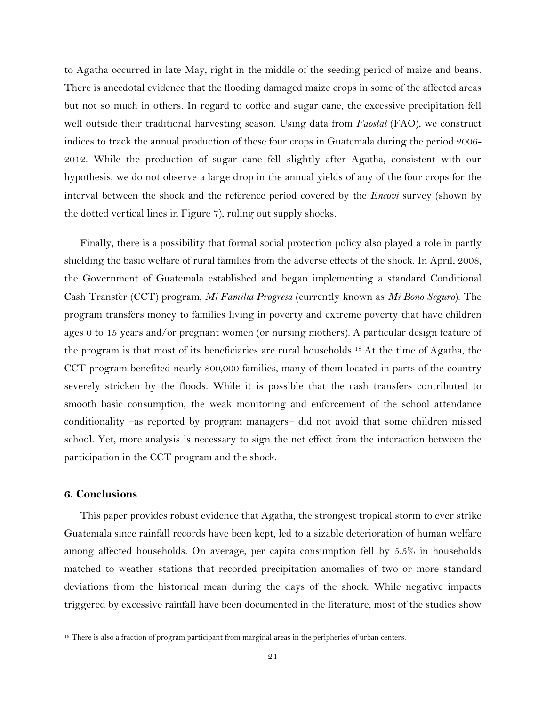to Agatha occurred in late May, right in the middle of the seeding period of maize and beans. There is anecdotal evidence that the flooding damaged maize crops in some of the affected areas but not so much in others. In regard to coffee and sugar cane, the excessive precipitation fell well outside their traditional harvesting season. Using data from *Faostat* (FAO), we construct indices to track the annual production of these four crops in Guatemala during the period 2006- 2012. While the production of sugar cane fell slightly after Agatha, consistent with our hypothesis, we do not observe a large drop in the annual yields of any of the four crops for the interval between the shock and the reference period covered by the *Encovi* survey (shown by the dotted vertical lines in Figure 7), ruling out supply shocks.

Finally, there is a possibility that formal social protection policy also played a role in partly shielding the basic welfare of rural families from the adverse effects of the shock. In April, 2008, the Government of Guatemala established and began implementing a standard Conditional Cash Transfer (CCT) program, *Mi Familia Progresa* (currently known as *Mi Bono Seguro*). The program transfers money to families living in poverty and extreme poverty that have children ages 0 to 15 years and/or pregnant women (or nursing mothers). A particular design feature of the program is that most of its beneficiaries are rural households.[18](#page-21-0) At the time of Agatha, the CCT program benefited nearly 800,000 families, many of them located in parts of the country severely stricken by the floods. While it is possible that the cash transfers contributed to smooth basic consumption, the weak monitoring and enforcement of the school attendance conditionality –as reported by program managers– did not avoid that some children missed school. Yet, more analysis is necessary to sign the net effect from the interaction between the participation in the CCT program and the shock.

#### **6. Conclusions**

l

This paper provides robust evidence that Agatha, the strongest tropical storm to ever strike Guatemala since rainfall records have been kept, led to a sizable deterioration of human welfare among affected households. On average, per capita consumption fell by 5.5% in households matched to weather stations that recorded precipitation anomalies of two or more standard deviations from the historical mean during the days of the shock. While negative impacts triggered by excessive rainfall have been documented in the literature, most of the studies show

<sup>18</sup> There is also a fraction of program participant from marginal areas in the peripheries of urban centers.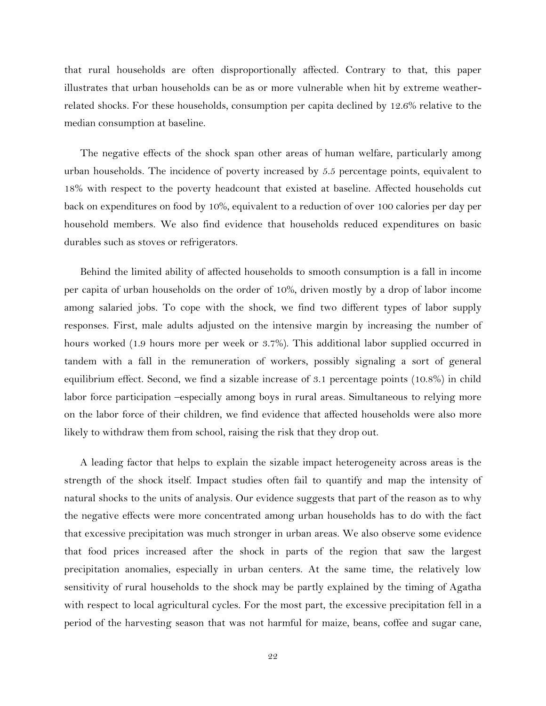that rural households are often disproportionally affected. Contrary to that, this paper illustrates that urban households can be as or more vulnerable when hit by extreme weatherrelated shocks. For these households, consumption per capita declined by 12.6% relative to the median consumption at baseline.

The negative effects of the shock span other areas of human welfare, particularly among urban households. The incidence of poverty increased by 5.5 percentage points, equivalent to 18% with respect to the poverty headcount that existed at baseline. Affected households cut back on expenditures on food by 10%, equivalent to a reduction of over 100 calories per day per household members. We also find evidence that households reduced expenditures on basic durables such as stoves or refrigerators.

Behind the limited ability of affected households to smooth consumption is a fall in income per capita of urban households on the order of 10%, driven mostly by a drop of labor income among salaried jobs. To cope with the shock, we find two different types of labor supply responses. First, male adults adjusted on the intensive margin by increasing the number of hours worked (1.9 hours more per week or 3.7%). This additional labor supplied occurred in tandem with a fall in the remuneration of workers, possibly signaling a sort of general equilibrium effect. Second, we find a sizable increase of 3.1 percentage points (10.8%) in child labor force participation –especially among boys in rural areas. Simultaneous to relying more on the labor force of their children, we find evidence that affected households were also more likely to withdraw them from school, raising the risk that they drop out.

A leading factor that helps to explain the sizable impact heterogeneity across areas is the strength of the shock itself. Impact studies often fail to quantify and map the intensity of natural shocks to the units of analysis. Our evidence suggests that part of the reason as to why the negative effects were more concentrated among urban households has to do with the fact that excessive precipitation was much stronger in urban areas. We also observe some evidence that food prices increased after the shock in parts of the region that saw the largest precipitation anomalies, especially in urban centers. At the same time, the relatively low sensitivity of rural households to the shock may be partly explained by the timing of Agatha with respect to local agricultural cycles. For the most part, the excessive precipitation fell in a period of the harvesting season that was not harmful for maize, beans, coffee and sugar cane,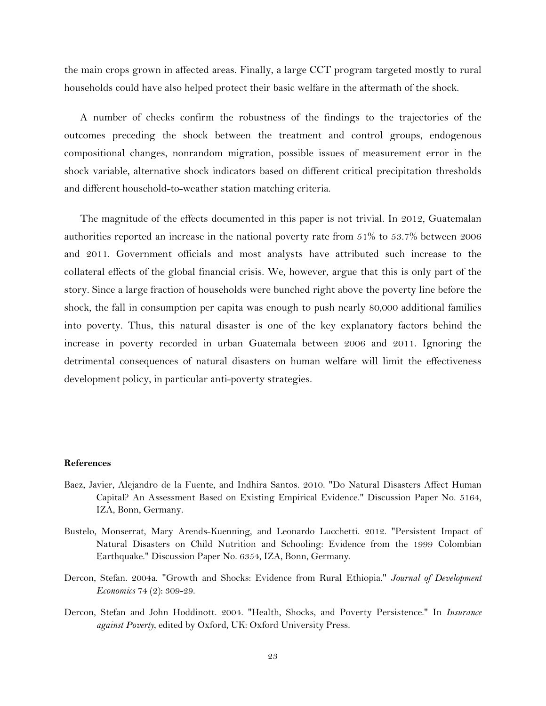the main crops grown in affected areas. Finally, a large CCT program targeted mostly to rural households could have also helped protect their basic welfare in the aftermath of the shock.

A number of checks confirm the robustness of the findings to the trajectories of the outcomes preceding the shock between the treatment and control groups, endogenous compositional changes, nonrandom migration, possible issues of measurement error in the shock variable, alternative shock indicators based on different critical precipitation thresholds and different household-to-weather station matching criteria.

The magnitude of the effects documented in this paper is not trivial. In 2012, Guatemalan authorities reported an increase in the national poverty rate from 51% to 53.7% between 2006 and 2011. Government officials and most analysts have attributed such increase to the collateral effects of the global financial crisis. We, however, argue that this is only part of the story. Since a large fraction of households were bunched right above the poverty line before the shock, the fall in consumption per capita was enough to push nearly 80,000 additional families into poverty. Thus, this natural disaster is one of the key explanatory factors behind the increase in poverty recorded in urban Guatemala between 2006 and 2011. Ignoring the detrimental consequences of natural disasters on human welfare will limit the effectiveness development policy, in particular anti-poverty strategies.

#### **References**

- Baez, Javier, Alejandro de la Fuente, and Indhira Santos. 2010. "Do Natural Disasters Affect Human Capital? An Assessment Based on Existing Empirical Evidence." Discussion Paper No. 5164, IZA, Bonn, Germany.
- Bustelo, Monserrat, Mary Arends-Kuenning, and Leonardo Lucchetti. 2012. "Persistent Impact of Natural Disasters on Child Nutrition and Schooling: Evidence from the 1999 Colombian Earthquake." Discussion Paper No. 6354, IZA, Bonn, Germany.
- Dercon, Stefan. 2004a. "Growth and Shocks: Evidence from Rural Ethiopia." *Journal of Development Economics* 74 (2): 309-29.
- Dercon, Stefan and John Hoddinott. 2004. "Health, Shocks, and Poverty Persistence." In *Insurance against Poverty*, edited by Oxford, UK: Oxford University Press.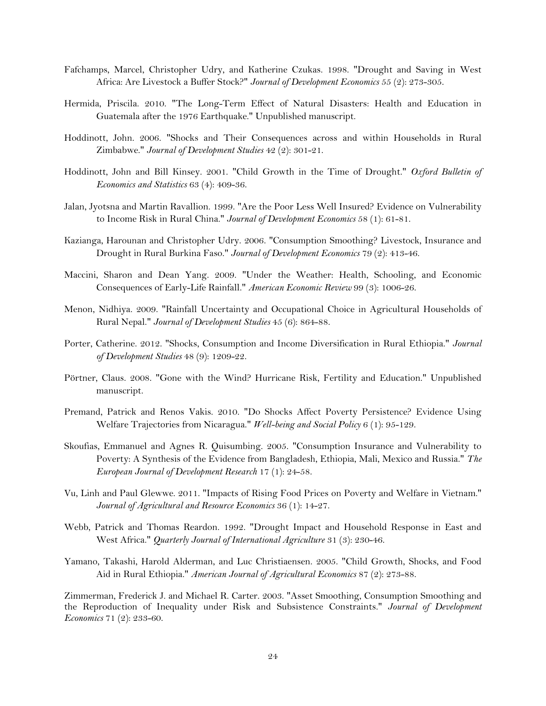- Fafchamps, Marcel, Christopher Udry, and Katherine Czukas. 1998. "Drought and Saving in West Africa: Are Livestock a Buffer Stock?" *Journal of Development Economics* 55 (2): 273-305.
- Hermida, Priscila. 2010. "The Long-Term Effect of Natural Disasters: Health and Education in Guatemala after the 1976 Earthquake." Unpublished manuscript.
- Hoddinott, John. 2006. "Shocks and Their Consequences across and within Households in Rural Zimbabwe." *Journal of Development Studies* 42 (2): 301-21.
- Hoddinott, John and Bill Kinsey. 2001. "Child Growth in the Time of Drought." *Oxford Bulletin of Economics and Statistics* 63 (4): 409-36.
- Jalan, Jyotsna and Martin Ravallion. 1999. "Are the Poor Less Well Insured? Evidence on Vulnerability to Income Risk in Rural China." *Journal of Development Economics* 58 (1): 61-81.
- Kazianga, Harounan and Christopher Udry. 2006. "Consumption Smoothing? Livestock, Insurance and Drought in Rural Burkina Faso." *Journal of Development Economics* 79 (2): 413-46.
- Maccini, Sharon and Dean Yang. 2009. "Under the Weather: Health, Schooling, and Economic Consequences of Early-Life Rainfall." *American Economic Review* 99 (3): 1006-26.
- Menon, Nidhiya. 2009. "Rainfall Uncertainty and Occupational Choice in Agricultural Households of Rural Nepal." *Journal of Development Studies* 45 (6): 864-88.
- Porter, Catherine. 2012. "Shocks, Consumption and Income Diversification in Rural Ethiopia." *Journal of Development Studies* 48 (9): 1209-22.
- Pörtner, Claus. 2008. "Gone with the Wind? Hurricane Risk, Fertility and Education." Unpublished manuscript.
- Premand, Patrick and Renos Vakis. 2010. "Do Shocks Affect Poverty Persistence? Evidence Using Welfare Trajectories from Nicaragua." *Well-being and Social Policy* 6 (1): 95-129.
- Skoufias, Emmanuel and Agnes R. Quisumbing. 2005. "Consumption Insurance and Vulnerability to Poverty: A Synthesis of the Evidence from Bangladesh, Ethiopia, Mali, Mexico and Russia." *The European Journal of Development Research* 17 (1): 24-58.
- Vu, Linh and Paul Glewwe. 2011. "Impacts of Rising Food Prices on Poverty and Welfare in Vietnam." *Journal of Agricultural and Resource Economics* 36 (1): 14-27.
- Webb, Patrick and Thomas Reardon. 1992. "Drought Impact and Household Response in East and West Africa." *Quarterly Journal of International Agriculture* 31 (3): 230-46.
- Yamano, Takashi, Harold Alderman, and Luc Christiaensen. 2005. "Child Growth, Shocks, and Food Aid in Rural Ethiopia." *American Journal of Agricultural Economics* 87 (2): 273-88.

Zimmerman, Frederick J. and Michael R. Carter. 2003. "Asset Smoothing, Consumption Smoothing and the Reproduction of Inequality under Risk and Subsistence Constraints." *Journal of Development Economics* 71 (2): 233-60.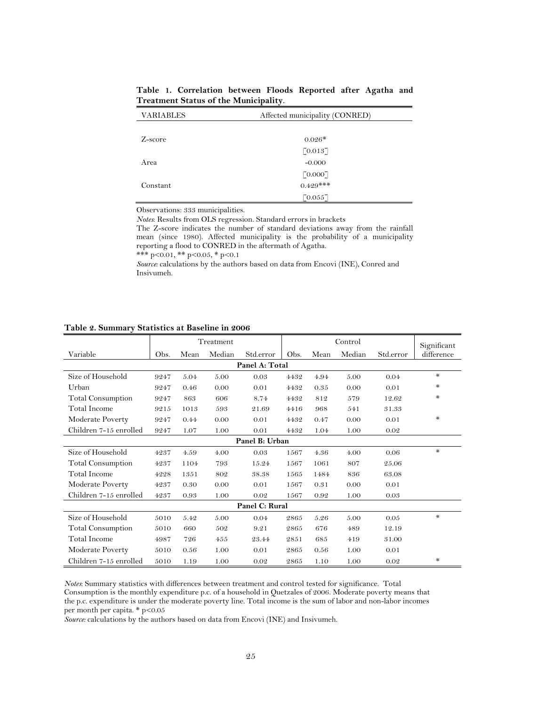| VARIABLES | Affected municipality (CONRED) |  |
|-----------|--------------------------------|--|
|           |                                |  |
| Z-score   | $0.026*$                       |  |
|           | [0.013]                        |  |
| Area      | $-0.000$                       |  |
|           | [0.000]                        |  |
| Constant  | $0.429***$                     |  |
|           | $\lceil 0.055 \rceil$          |  |

**Table 1. Correlation between Floods Reported after Agatha and Treatment Status of the Municipality**.

Observations: 333 municipalities.

*Notes*: Results from OLS regression. Standard errors in brackets

The Z-score indicates the number of standard deviations away from the rainfall mean (since 1980). Affected municipality is the probability of a municipality reporting a flood to CONRED in the aftermath of Agatha. \*\*\* p<0.01, \*\* p<0.05, \* p<0.1

*Source:* calculations by the authors based on data from Encovi (INE), Conred and Insivumeh.

|                          |      |      | Treatment |                |      |      | Control |           | Significant |
|--------------------------|------|------|-----------|----------------|------|------|---------|-----------|-------------|
| Variable                 | Obs. | Mean | Median    | Std.error      | Obs. | Mean | Median  | Std.error | difference  |
| Panel A: Total           |      |      |           |                |      |      |         |           |             |
| Size of Household        | 9247 | 5.04 | 5.00      | 0.03           | 4432 | 4.94 | 5.00    | 0.04      | $\ast$      |
| Urban                    | 9247 | 0.46 | 0.00      | 0.01           | 4432 | 0.35 | 0.00    | 0.01      | ₩           |
| <b>Total Consumption</b> | 9247 | 863  | 606       | 8.74           | 4432 | 812  | 579     | 12.62     | ₩           |
| Total Income             | 9215 | 1013 | 593       | 21.69          | 4416 | 968  | 541     | 31.33     |             |
| Moderate Poverty         | 9247 | 0.44 | 0.00      | 0.01           | 4432 | 0.47 | 0.00    | 0.01      | ₩           |
| Children 7-15 enrolled   | 9247 | 1.07 | 1.00      | 0.01           | 4432 | 1.04 | 1.00    | 0.02      |             |
|                          |      |      |           | Panel B: Urban |      |      |         |           |             |
| Size of Household        | 4237 | 4.59 | 4.00      | 0.03           | 1567 | 4.36 | 4.00    | 0.06      | ₩           |
| <b>Total Consumption</b> | 4237 | 1104 | 793       | 15.24          | 1567 | 1061 | 807     | 25.06     |             |
| Total Income             | 4228 | 1351 | 802       | 38.38          | 1565 | 1484 | 836     | 63.08     |             |
| Moderate Poverty         | 4237 | 0.30 | 0.00      | 0.01           | 1567 | 0.31 | 0.00    | 0.01      |             |
| Children 7-15 enrolled   | 4237 | 0.93 | 1.00      | 0.02           | 1567 | 0.92 | 1.00    | 0.03      |             |
|                          |      |      |           | Panel C: Rural |      |      |         |           |             |
| Size of Household        | 5010 | 5.42 | 5.00      | 0.04           | 2865 | 5.26 | 5.00    | 0.05      | $\ast$      |
| <b>Total Consumption</b> | 5010 | 660  | 502       | 9.21           | 2865 | 676  | 489     | 12.19     |             |
| Total Income             | 4987 | 726  | 455       | 23.44          | 2851 | 685  | 419     | 31.00     |             |
| Moderate Poverty         | 5010 | 0.56 | 1.00      | 0.01           | 2865 | 0.56 | 1.00    | 0.01      |             |
| Children 7-15 enrolled   | 5010 | 1.19 | 1.00      | 0.02           | 2865 | 1.10 | 1.00    | 0.02      | ₩           |

**Table 2. Summary Statistics at Baseline in 2006**

*Notes*: Summary statistics with differences between treatment and control tested for significance. Total Consumption is the monthly expenditure p.c. of a household in Quetzales of 2006. Moderate poverty means that the p.c. expenditure is under the moderate poverty line. Total income is the sum of labor and non-labor incomes per month per capita. \* p<0.05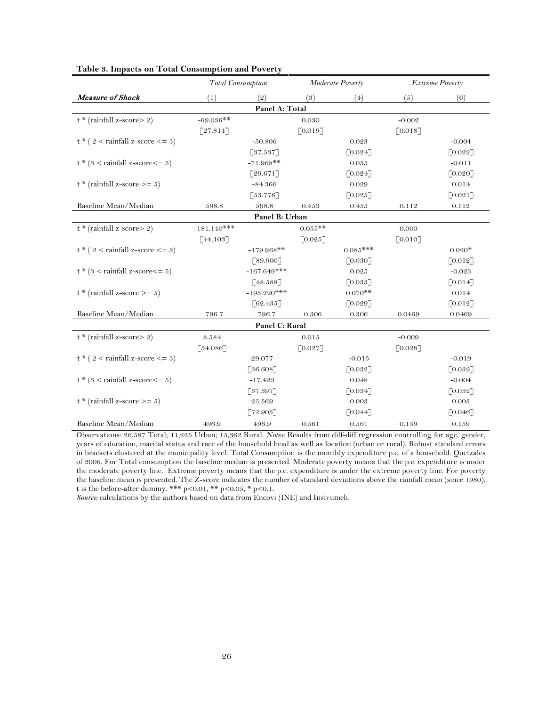|                                        | <b>Total Consumption</b> |                        |                       | Moderate Poverty      |                       | Extreme Poverty       |
|----------------------------------------|--------------------------|------------------------|-----------------------|-----------------------|-----------------------|-----------------------|
| <b>Measure of Shock</b>                | (1)                      | (2)                    | (3)                   | (4)                   | (5)                   | (6)                   |
| Panel A: Total                         |                          |                        |                       |                       |                       |                       |
| $t * (rainfall z-score > 2)$           | $-69.036**$              |                        | 0.030                 |                       | $-0.002$              |                       |
|                                        | $\lceil 27.814 \rceil$   |                        | [0.019]               |                       | $\lceil 0.018 \rceil$ |                       |
| $t * (2 <$ rainfall z-score $\leq 3$ ) |                          | $-50.806$              |                       | 0.023                 |                       | $-0.004$              |
|                                        |                          | $\lceil 37.537 \rceil$ |                       | $\lceil 0.024 \rceil$ |                       | [0.022]               |
| $t*(3 <$ rainfall z-score $\leq 5$ )   |                          | $-71.968**$            |                       | 0.035                 |                       | $-0.011$              |
|                                        |                          | [29.671]               |                       | $\lceil 0.024 \rceil$ |                       | $\lceil 0.020 \rceil$ |
| $t * (rainfall z-score > = 5)$         |                          | $-84.366$              |                       | 0.029                 |                       | 0.014                 |
|                                        |                          | $\lceil 53.776 \rceil$ |                       | $\lceil 0.025 \rceil$ |                       | $\lceil 0.021 \rceil$ |
| Baseline Mean/Median                   | 598.8                    | 598.8                  | 0.453                 | 0.453                 | 0.112                 | 0.112                 |
|                                        |                          | Panel B: Urban         |                       |                       |                       |                       |
| $t * (rainfall z-score > 2)$           | $-181.140***$            |                        | $0.055**$             |                       | 0.000                 |                       |
|                                        | $[44.103]$               |                        | $\lceil 0.025 \rceil$ |                       | [0.010]               |                       |
| $t * (2 <$ rainfall z-score $\leq 3$ ) |                          | $-179.968**$           |                       | $0.085***$            |                       | $0.020*$              |
|                                        |                          | [89.900]               |                       | $\lceil 0.030 \rceil$ |                       | $\lceil 0.012 \rceil$ |
| $t*(3 <$ rainfall z-score $\leq 5$ )   |                          | $-167.649***$          |                       | 0.025                 |                       | $-0.023$              |
|                                        |                          | [48.588]               |                       | $\lceil 0.033 \rceil$ |                       | $\lceil 0.014 \rceil$ |
| $t * (rainfall z-score > = 5)$         |                          | $-195.220***$          |                       | $0.070**$             |                       | 0.014                 |
|                                        |                          | [62.435]               |                       | $\lceil 0.029 \rceil$ |                       | $\lceil 0.012 \rceil$ |
| Baseline Mean/Median                   | 796.7                    | 796.7                  | 0.306                 | 0.306                 | 0.0469                | 0.0469                |
|                                        |                          | Panel C: Rural         |                       |                       |                       |                       |
| $t * (rainfall z-score > 2)$           | 8.584                    |                        | 0.015                 |                       | $-0.009$              |                       |
|                                        | $[34.086]$               |                        | [0.027]               |                       | [0.028]               |                       |
| $t * (2 <$ rainfall z-score $\leq 3$ ) |                          | 29.077                 |                       | $-0.015$              |                       | $-0.019$              |
|                                        |                          | [36.608]               |                       | $\lceil 0.032 \rceil$ |                       | $\lceil 0.032 \rceil$ |
| $t*(3 <$ rainfall z-score $\leq 5$ )   |                          | $-17.423$              |                       | 0.048                 |                       | $-0.004$              |
|                                        |                          | [37.397]               |                       | $\lceil 0.034 \rceil$ |                       | $\lceil 0.032 \rceil$ |
| $t * (rainfall z-score > = 5)$         |                          | 25.569                 |                       | 0.003                 |                       | 0.003                 |
|                                        |                          | [72.903]               |                       | $\lceil 0.044 \rceil$ |                       | [0.046]               |
| Baseline Mean/Median                   | 496.9                    | 496.9                  | 0.561                 | 0.561                 | 0.159                 | 0.159                 |

#### **Table 3. Impacts on Total Consumption and Poverty**

Observations: 26,587 Total; 11,225 Urban; 15,362 Rural. *Notes*: Results from diff-diff regression controlling for age, gender, years of education, marital status and race of the household head as well as location (urban or rural). Robust standard errors in brackets clustered at the municipality level. Total Consumption is the monthly expenditure p.c. of a household. Quetzales of 2006. For Total consumption the baseline median is presented. Moderate poverty means that the p.c. expenditure is under the moderate poverty line. Extreme poverty means that the p.c. expenditure is under the extreme poverty line. For poverty the baseline mean is presented. The Z-score indicates the number of standard deviations above the rainfall mean (since 1980). t is the before-after dummy. \*\*\* p<0.01, \*\* p<0.05, \* p<0.1.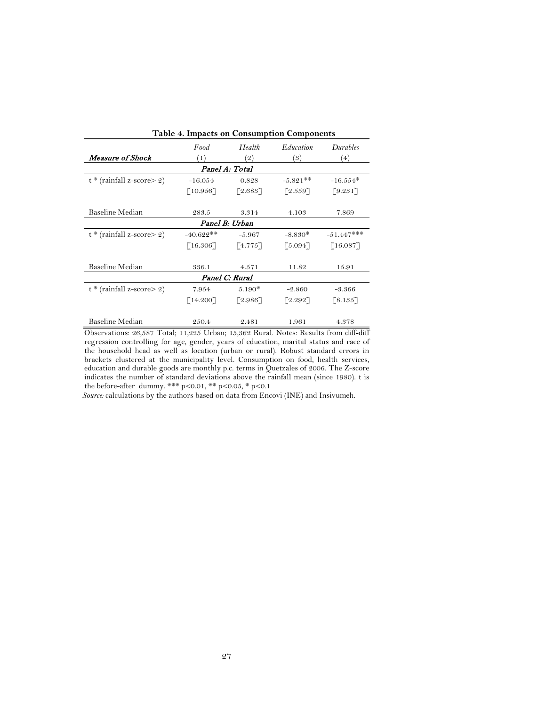|                              | <b>Table 4. Impacts on Consumption Components</b> |                       |                       |                       |  |  |  |
|------------------------------|---------------------------------------------------|-----------------------|-----------------------|-----------------------|--|--|--|
|                              | Food                                              | Health                | Education             | Durables              |  |  |  |
| Measure of Shock             | (1)                                               | $\overline{2}$        | (3)                   | (4)                   |  |  |  |
|                              |                                                   | Panel A: Total        |                       |                       |  |  |  |
| $t * (rainfall z-score > 2)$ | $-16.054$                                         | 0.828                 | $-5.821**$            | $-16.554*$            |  |  |  |
|                              | $\lceil 10.956 \rceil$                            | $\lceil 2.683 \rceil$ | $\lceil 2.559 \rceil$ | $\lceil 9.231 \rceil$ |  |  |  |
|                              |                                                   |                       |                       |                       |  |  |  |
| Baseline Median              | 283.5                                             | 3.314                 | 4.103                 | 7.869                 |  |  |  |
|                              |                                                   | Panel B: Urban        |                       |                       |  |  |  |
| $t * (rainfall z-score > 2)$ | $-40.622**$                                       | $-5.967$              | $-8.830*$             | $-51.447***$          |  |  |  |
|                              | $\lceil 16.306 \rceil$                            | [4.775]               | $\lceil 5.094 \rceil$ | [16.087]              |  |  |  |
|                              |                                                   |                       |                       |                       |  |  |  |
| Baseline Median              | 336.1                                             | 4.571                 | 11.82                 | 15.91                 |  |  |  |
| Panel C: Rural               |                                                   |                       |                       |                       |  |  |  |
| $t * (rainfall z-score > 2)$ | 7.954                                             | $5.190*$              | $-2.860$              | $-3.366$              |  |  |  |
|                              | $\lceil 14.200 \rceil$                            | $\lceil 2.986 \rceil$ | $\lceil 2.292 \rceil$ | $\lceil 8.135 \rceil$ |  |  |  |
|                              |                                                   |                       |                       |                       |  |  |  |
| Baseline Median              | 250.4                                             | 2.481                 | 1.961                 | 4.378                 |  |  |  |

Observations: 26,587 Total; 11,225 Urban; 15,362 Rural. Notes: Results from diff-diff regression controlling for age, gender, years of education, marital status and race of the household head as well as location (urban or rural). Robust standard errors in brackets clustered at the municipality level. Consumption on food, health services, education and durable goods are monthly p.c. terms in Quetzales of 2006. The Z-score indicates the number of standard deviations above the rainfall mean (since 1980). t is the before-after dummy. \*\*\* p<0.01, \*\* p<0.05, \* p<0.1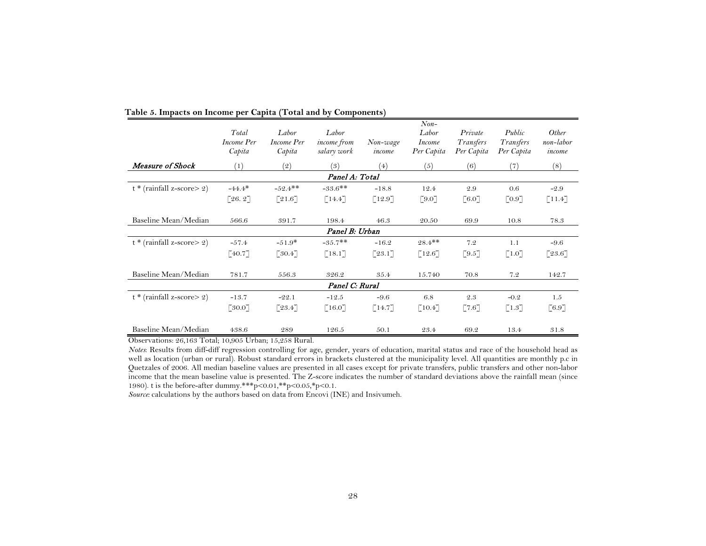|                              | Total<br>Income Per<br>Capita | Labor<br>Income Per<br>Capita | Labor<br><i>income</i> from<br>salary work | Non-wage<br>income   | $Non-$<br>Labor<br><i>Income</i><br>Per Capita | Private<br>Transfers<br>Per Capita | Public<br>Transfers<br>Per Capita | Other<br>non-labor<br>income |
|------------------------------|-------------------------------|-------------------------------|--------------------------------------------|----------------------|------------------------------------------------|------------------------------------|-----------------------------------|------------------------------|
| <b>Measure of Shock</b>      | (1)                           | (2)                           | (3)                                        | (4)                  | (5)                                            | (6)                                | (7)                               | (8)                          |
|                              |                               |                               | Panel A: Total                             |                      |                                                |                                    |                                   |                              |
| $t * (rainfall z-score > 2)$ | $-44.4*$                      | $-52.4$ **                    | $-33.6$ **                                 | $-18.8$              | 12.4                                           | 2.9                                | 0.6                               | $-2.9$                       |
|                              | $\lceil 26.2 \rceil$          | $\lceil 21.6 \rceil$          | $\lceil 14.4 \rceil$                       | $\lceil 12.9 \rceil$ | $\lceil 9.0 \rceil$                            | [6.0]                              | $\lceil 0.9 \rceil$               | $\lceil 11.4 \rceil$         |
| Baseline Mean/Median         | 566.6                         | 391.7                         | 198.4                                      | 46.3                 | 20.50                                          | 69.9                               | 10.8                              | 78.3                         |
|                              |                               |                               | Panel B: Urban                             |                      |                                                |                                    |                                   |                              |
| $t * (rainfall z-score > 2)$ | $-57.4$                       | $-51.9*$                      | $-35.7**$                                  | $-16.2$              | $28.4$ **                                      | 7.2                                | 1.1                               | $-9.6$                       |
|                              | [40.7]                        | $\lceil 30.4 \rceil$          | $\lceil 18.1 \rceil$                       | $\lceil 23.1 \rceil$ | $\lceil 12.6 \rceil$                           | $\lceil 9.5 \rceil$                | $\lceil 1.0 \rceil$               | $\lceil 23.6 \rceil$         |
| Baseline Mean/Median         | 781.7                         | 556.3                         | 326.2                                      | 35.4                 | 15.740                                         | 70.8                               | 7.2                               | 142.7                        |
|                              |                               |                               | Panel C: Rural                             |                      |                                                |                                    |                                   |                              |
| $t * (rainfall z-score > 2)$ | $-13.7$                       | $-22.1$                       | $-12.5$                                    | $-9.6$               | 6.8                                            | 2.3                                | $-0.2$                            | 1.5                          |
|                              | $\lceil 30.0 \rceil$          | $\lceil 23.4 \rceil$          | $\lceil 16.0 \rceil$                       | $\lceil 14.7 \rceil$ | $\lceil 10.4 \rceil$                           | [7.6]                              | $\lbrack 1.3 \rbrack$             | [6.9]                        |
| Baseline Mean/Median         | 438.6                         | 289                           | 126.5                                      | 50.1                 | 23.4                                           | 69.2                               | 13.4                              | 31.8                         |

 **Table 5. Impacts on Income per Capita (Total and by Components)**

Observations: 26,163 Total; 10,905 Urban; 15,258 Rural.

*Notes*: Results from diff-diff regression controlling for age, gender, years of education, marital status and race of the household head as well as location (urban or rural). Robust standard errors in brackets clustered at the municipality level. All quantities are monthly p.c in Quetzales of 2006. All median baseline values are presented in all cases except for private transfers, public transfers and other non-labor income that the mean baseline value is presented. The Z-score indicates the number of standard deviations above the rainfall mean (since 1980). t is the before-after dummy.\*\*\*p<0.01,\*\*p<0.05,\*p<0.1.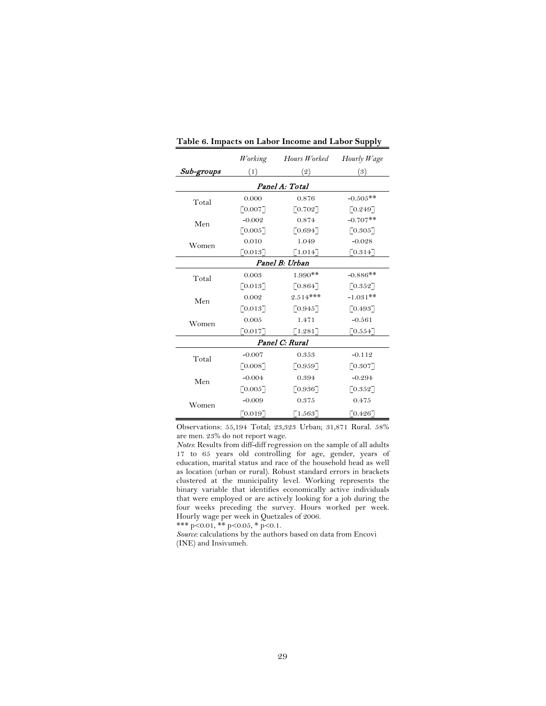|            | Working               | Hours Worked          | Hourly $Wage$         |  |  |  |  |
|------------|-----------------------|-----------------------|-----------------------|--|--|--|--|
| Sub-groups | (1)                   | (9)                   | (3)                   |  |  |  |  |
|            |                       | Panel A: Total        |                       |  |  |  |  |
| Total      | 0.000                 | 0.876                 | $-0.505**$            |  |  |  |  |
|            | $\lceil 0.007 \rceil$ | $\lceil 0.702 \rceil$ | $\lceil 0.249 \rceil$ |  |  |  |  |
| Men        | $-0.002$              | 0.874                 | $-0.707**$            |  |  |  |  |
|            | $\lceil 0.005 \rceil$ | [0.694]               | $\lceil 0.305 \rceil$ |  |  |  |  |
| Women      | 0.010                 | 1.049                 | $-0.028$              |  |  |  |  |
|            | $\lceil 0.013 \rceil$ | $\lceil 1.014 \rceil$ | $\lceil 0.314 \rceil$ |  |  |  |  |
|            |                       | Panel B: Urban        |                       |  |  |  |  |
| Total      | 0.003                 | $1.990**$             | $-0.886**$            |  |  |  |  |
|            | $\lceil 0.013 \rceil$ | $\lceil 0.864 \rceil$ | $\lceil 0.352 \rceil$ |  |  |  |  |
| Men        | 0.002                 | $2.514***$            | $-1.031**$            |  |  |  |  |
|            | $\lceil 0.013 \rceil$ | $\lceil 0.945 \rceil$ | $\lceil 0.493 \rceil$ |  |  |  |  |
| Women      | 0.005                 | 1.471                 | $-0.561$              |  |  |  |  |
|            | $\lceil 0.017 \rceil$ | $\lceil 1.281 \rceil$ | $\lceil 0.554 \rceil$ |  |  |  |  |
|            | Panel C: Rural        |                       |                       |  |  |  |  |
| Total      | $-0.007$              | 0.353                 | $-0.112$              |  |  |  |  |
|            | $\lceil 0.008 \rceil$ | $\lceil 0.959 \rceil$ | $\lceil 0.307 \rceil$ |  |  |  |  |
| Men        | $-0.004$              | 0.394                 | $-0.294$              |  |  |  |  |
|            | $\lceil 0.005 \rceil$ | $\lceil 0.936 \rceil$ | $\lceil 0.352 \rceil$ |  |  |  |  |
| Women      | $-0.009$              | 0.375                 | 0.475                 |  |  |  |  |
|            | [0.019]               | $\lceil 1.563 \rceil$ | $\lceil 0.426 \rceil$ |  |  |  |  |

| Table 6. Impacts on Labor Income and Labor Supply |  |
|---------------------------------------------------|--|
|---------------------------------------------------|--|

Observations: 55,194 Total; 23,323 Urban; 31,871 Rural. 58% are men. 23% do not report wage.

*Notes*: Results from diff-diff regression on the sample of all adults 17 to 65 years old controlling for age, gender, years of education, marital status and race of the household head as well as location (urban or rural). Robust standard errors in brackets clustered at the municipality level. Working represents the binary variable that identifies economically active individuals that were employed or are actively looking for a job during the four weeks preceding the survey. Hours worked per week. Hourly wage per week in Quetzales of 2006.

\*\*\* p<0.01, \*\* p<0.05, \* p<0.1.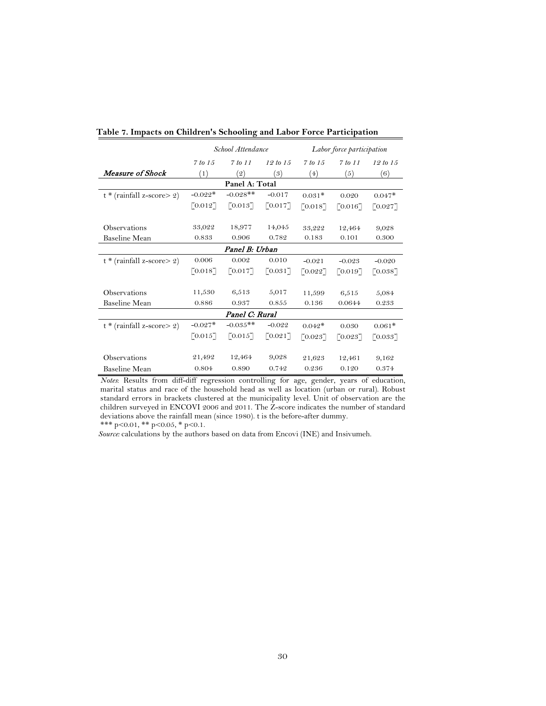|                              | School Attendance     |                       | Labor force participation |                       |                       |                       |
|------------------------------|-----------------------|-----------------------|---------------------------|-----------------------|-----------------------|-----------------------|
|                              | 7 to 15               | 7 to 11               | 12 to 15                  | 7 to 15               | 7 to 11               | 12 to 15              |
| Measure of Shock             | (1)                   | $\left( 2\right)$     | (3)                       | (4)                   | (5)                   | (6)                   |
|                              |                       | Panel A: Total        |                           |                       |                       |                       |
| $t * (rainfall z-score > 2)$ | $-0.022*$             | $-0.028**$            | $-0.017$                  | $0.031*$              | 0.020                 | $0.047*$              |
|                              | $\lceil 0.012 \rceil$ | $\lceil 0.013 \rceil$ | $\lceil 0.017 \rceil$     | $\lceil 0.018 \rceil$ | $\lceil 0.016 \rceil$ | $\lceil 0.027 \rceil$ |
|                              |                       |                       |                           |                       |                       |                       |
| Observations                 | 33,022                | 18,977                | 14,045                    | 33,222                | 12,464                | 9,028                 |
| <b>Baseline Mean</b>         | 0.833                 | 0.906                 | 0.782                     | 0.183                 | 0.101                 | 0.300                 |
|                              |                       | Panel B: Urban        |                           |                       |                       |                       |
| $t * (rainfall z-score > 2)$ | 0.006                 | 0.002                 | 0.010                     | $-0.021$              | $-0.023$              | $-0.020$              |
|                              | $\lceil 0.018 \rceil$ | $\lceil 0.017 \rceil$ | $\lceil 0.031 \rceil$     | $\lceil 0.022 \rceil$ | $\lceil 0.019 \rceil$ | $\lceil 0.038 \rceil$ |
| Observations                 | 11,530                | 6,513                 | 5,017                     |                       |                       |                       |
|                              |                       |                       |                           | 11,599                | 6,515                 | 5,084                 |
| <b>Baseline Mean</b>         | 0.886                 | 0.937                 | 0.855                     | 0.136                 | 0.0644                | 0.233                 |
|                              |                       | Panel C: Rural        |                           |                       |                       |                       |
| $t * (rainfall z-score > 2)$ | $-0.027*$             | $-0.035**$            | $-0.022$                  | $0.042*$              | 0.030                 | $0.061*$              |
|                              | $\lceil 0.015 \rceil$ | $\lceil 0.015 \rceil$ | $\lceil 0.021 \rceil$     | $\lceil 0.023 \rceil$ | $\lceil 0.023 \rceil$ | $\lceil 0.033 \rceil$ |
|                              |                       |                       |                           |                       |                       |                       |
| Observations                 | 21,492                | 12,464                | 9,028                     | 21,623                | 12,461                | 9,162                 |
| Baseline Mean                | 0.804                 | 0.890                 | 0.742                     | 0.236                 | 0.120                 | 0.374                 |

**Table 7. Impacts on Children's Schooling and Labor Force Participation**

*Notes*: Results from diff-diff regression controlling for age, gender, years of education, marital status and race of the household head as well as location (urban or rural). Robust standard errors in brackets clustered at the municipality level. Unit of observation are the children surveyed in ENCOVI 2006 and 2011. The Z-score indicates the number of standard deviations above the rainfall mean (since 1980). t is the before-after dummy. \*\*\* p<0.01, \*\* p<0.05, \* p<0.1.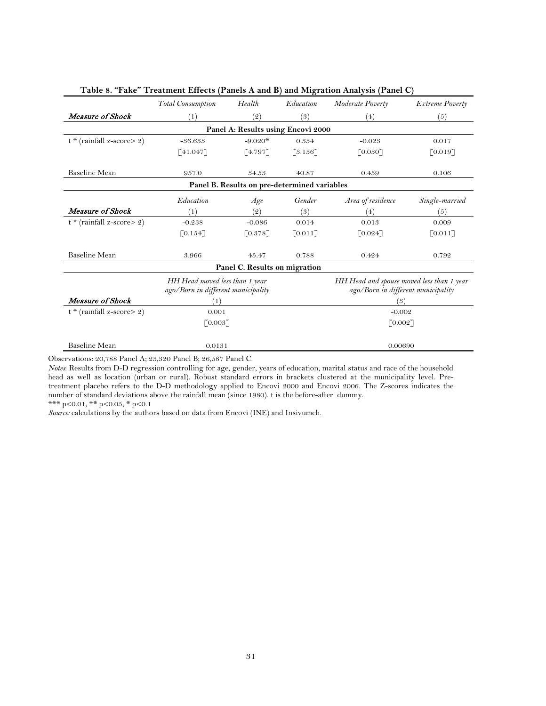|                                    | <b>Total Consumption</b>                                                                 | Health                        | Education                                    | Moderate Poverty                                                                       | <b>Extreme Poverty</b> |  |  |  |
|------------------------------------|------------------------------------------------------------------------------------------|-------------------------------|----------------------------------------------|----------------------------------------------------------------------------------------|------------------------|--|--|--|
| <b>Measure of Shock</b>            | (1)                                                                                      | (2)                           | (3)                                          | (4)                                                                                    | (5)                    |  |  |  |
| Panel A: Results using Encovi 2000 |                                                                                          |                               |                                              |                                                                                        |                        |  |  |  |
| $t * (rainfall z-score > 2)$       | $-36.633$                                                                                | $-9.020*$                     | 0.334                                        | $-0.023$                                                                               | 0.017                  |  |  |  |
|                                    | [41.047]                                                                                 | [4.797]                       | $\lceil 3.136 \rceil$                        | $\lceil 0.030 \rceil$                                                                  | [0.019]                |  |  |  |
| <b>Baseline Mean</b>               | 957.0                                                                                    | 34.53                         | 40.87                                        | 0.459                                                                                  | 0.106                  |  |  |  |
|                                    |                                                                                          |                               | Panel B. Results on pre-determined variables |                                                                                        |                        |  |  |  |
|                                    | Education                                                                                | Age                           | Gender                                       | Area of residence                                                                      | Single-married         |  |  |  |
| <b>Measure of Shock</b>            | (1)                                                                                      | (2)                           | (3)                                          | (4)                                                                                    | (5)                    |  |  |  |
| $t * (rainfall z-score > 2)$       | $-0.238$                                                                                 | $-0.086$                      | 0.014                                        | 0.013                                                                                  | 0.009                  |  |  |  |
|                                    | $\lceil 0.154 \rceil$                                                                    | $\lceil 0.378 \rceil$         | $\lceil 0.011 \rceil$                        | $\lceil 0.024 \rceil$                                                                  | $\lceil 0.011 \rceil$  |  |  |  |
| <b>Baseline Mean</b>               | 3.966                                                                                    | 45.47                         | 0.788                                        | 0.424                                                                                  | 0.792                  |  |  |  |
|                                    |                                                                                          | Panel C. Results on migration |                                              |                                                                                        |                        |  |  |  |
| <b>Measure of Shock</b>            | HH Head moved less than 1 year<br>ago/Born in different municipality<br>$\left(1\right)$ |                               |                                              | HH Head and spouse moved less than 1 year<br>ago/Born in different municipality<br>(3) |                        |  |  |  |
| $t * (rainfall z-score > 2)$       | 0.001                                                                                    |                               |                                              | $-0.002$                                                                               |                        |  |  |  |
|                                    | $\lceil 0.003 \rceil$                                                                    |                               |                                              | $\lceil 0.002 \rceil$                                                                  |                        |  |  |  |
| <b>Baseline Mean</b>               | 0.0131                                                                                   |                               |                                              | 0.00690                                                                                |                        |  |  |  |

| Table 8. "Fake" Treatment Effects (Panels A and B) and Migration Analysis (Panel C) |  |  |  |  |
|-------------------------------------------------------------------------------------|--|--|--|--|
|-------------------------------------------------------------------------------------|--|--|--|--|

Observations: 20,788 Panel A; 23,320 Panel B; 26,587 Panel C.

*Notes*: Results from D-D regression controlling for age, gender, years of education, marital status and race of the household head as well as location (urban or rural). Robust standard errors in brackets clustered at the municipality level. Pretreatment placebo refers to the D-D methodology applied to Encovi 2000 and Encovi 2006. The Z-scores indicates the number of standard deviations above the rainfall mean (since 1980). t is the before-after dummy.

\*\*\* p<0.01, \*\* p<0.05, \* p<0.1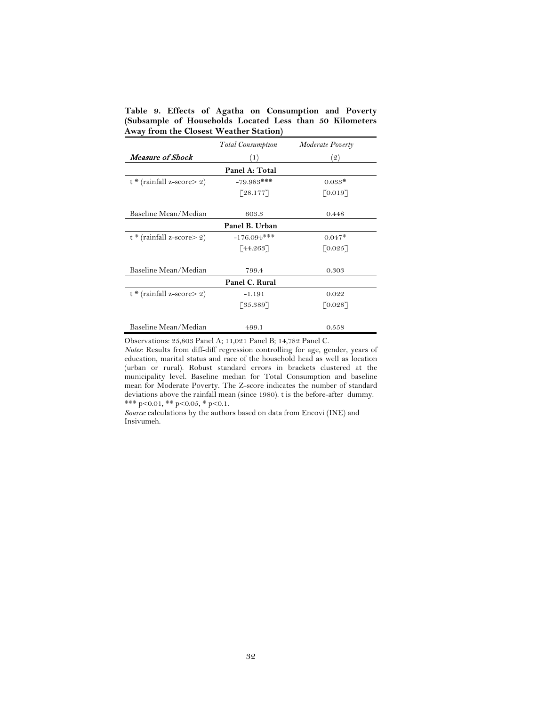**Table 9. Effects of Agatha on Consumption and Poverty (Subsample of Households Located Less than 50 Kilometers Away from the Closest Weather Station)**

|                              | <b>Total Consumption</b> | Moderate Poverty      |  |  |  |  |  |
|------------------------------|--------------------------|-----------------------|--|--|--|--|--|
| Measure of Shock             | (1)                      | (2)                   |  |  |  |  |  |
|                              | Panel A: Total           |                       |  |  |  |  |  |
| $t * (rainfall z-score > 2)$ | $-79.983***$             | $0.033*$              |  |  |  |  |  |
|                              | $\lceil 28.177 \rceil$   | $\lceil 0.019 \rceil$ |  |  |  |  |  |
|                              |                          |                       |  |  |  |  |  |
| Baseline Mean/Median         | 603.3                    | 0.448                 |  |  |  |  |  |
|                              | Panel B. Urban           |                       |  |  |  |  |  |
| $t * (rainfall z-score > 2)$ | $-176.094***$            | $0.047*$              |  |  |  |  |  |
|                              | [44.263]                 | $\lceil 0.025 \rceil$ |  |  |  |  |  |
| Baseline Mean/Median         | 799.4                    | 0.303                 |  |  |  |  |  |
|                              | Panel C. Rural           |                       |  |  |  |  |  |
| $t * (rainfall z-score > 2)$ | $-1.191$                 | 0.022                 |  |  |  |  |  |
|                              | [35.389]                 | $\lceil 0.028 \rceil$ |  |  |  |  |  |
| Baseline Mean/Median         | 499.1                    | 0.558                 |  |  |  |  |  |

Observations: 25,803 Panel A; 11,021 Panel B; 14,782 Panel C.

*Notes*: Results from diff-diff regression controlling for age, gender, years of education, marital status and race of the household head as well as location (urban or rural). Robust standard errors in brackets clustered at the municipality level. Baseline median for Total Consumption and baseline mean for Moderate Poverty. The Z-score indicates the number of standard deviations above the rainfall mean (since 1980). t is the before-after dummy. \*\*\* p<0.01, \*\* p<0.05, \* p<0.1.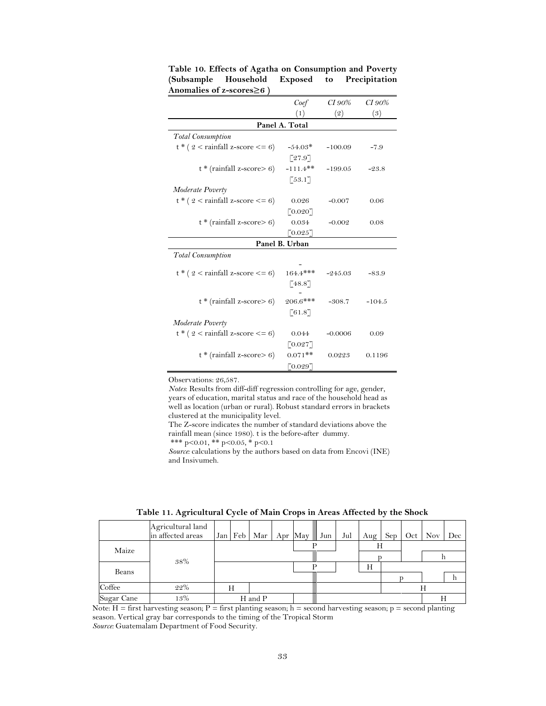|                                      | Coef                  | CI 90%    | CI 90%   |
|--------------------------------------|-----------------------|-----------|----------|
|                                      | (1)                   | (2)       | (3)      |
|                                      | Panel A. Total        |           |          |
| <b>Total Consumption</b>             |                       |           |          |
| $t*(2 <$ rainfall z-score $\leq 6$ ) | $-54.03*$             | $-100.09$ | $-7.9$   |
|                                      | $\lceil 27.9 \rceil$  |           |          |
| $t * (rainfall z-score > 6)$         | $-111.4$ **           | $-199.05$ | $-23.8$  |
|                                      | $\lceil 53.1 \rceil$  |           |          |
| Moderate Poverty                     |                       |           |          |
| $t*(2 <$ rainfall z-score $\leq 6$ ) | 0.026                 | $-0.007$  | 0.06     |
|                                      | $\lceil 0.020 \rceil$ |           |          |
| $t * (rainfall z-score > 6)$         | 0.034                 | $-0.002$  | 0.08     |
|                                      | $\lceil 0.025 \rceil$ |           |          |
|                                      | Panel B. Urban        |           |          |
| <b>Total Consumption</b>             |                       |           |          |
|                                      |                       |           |          |
| $t*(2 <$ rainfall z-score $\leq 6$ ) | $164.4***$            | $-245.03$ | $-83.9$  |
|                                      | [48.8]                |           |          |
| $t * (rainfall z-score > 6)$         | $206.6***$            | $-308.7$  | $-104.5$ |
|                                      |                       |           |          |
|                                      | $\lceil 61.8 \rceil$  |           |          |
| Moderate Poverty                     |                       |           |          |
| $t*(2 <$ rainfall z-score $\leq 6$ ) | 0.044                 | $-0.0006$ | 0.09     |
|                                      | $\lceil 0.027 \rceil$ |           |          |
| $t*(rainfall z-score > 6)$           | $0.071**$             | 0.0223    | 0.1196   |
|                                      | [0.029]               |           |          |

**Table 10. Effects of Agatha on Consumption and Poverty (Subsample Household Exposed to Precipitation Anomalies of z-scores**≥**6 )**

Observations: 26,587.

*Notes*: Results from diff-diff regression controlling for age, gender, years of education, marital status and race of the household head as well as location (urban or rural). Robust standard errors in brackets clustered at the municipality level.

The Z-score indicates the number of standard deviations above the rainfall mean (since 1980). t is the before-after dummy.

\*\*\* p<0.01, \*\* p<0.05, \* p<0.1

*Source:* calculations by the authors based on data from Encovi (INE) and Insivumeh.

|  | Table 11. Agricultural Cycle of Main Crops in Areas Affected by the Shock |  |
|--|---------------------------------------------------------------------------|--|
|  |                                                                           |  |

|            | Agricultural land<br>in affected areas |   | Jan Feb Mar | Apr May |  | Jun | Jul | Aug | Sep | Oct | Nov Dec |  |
|------------|----------------------------------------|---|-------------|---------|--|-----|-----|-----|-----|-----|---------|--|
| Maize      |                                        |   |             |         |  |     |     | Н   |     |     |         |  |
|            | 38%                                    |   |             |         |  |     |     |     |     |     |         |  |
| Beans      |                                        |   |             |         |  |     |     | Н   |     |     |         |  |
|            |                                        |   |             |         |  |     |     |     |     |     |         |  |
| Coffee     | 22%                                    | Н |             |         |  |     |     |     |     |     | н       |  |
| Sugar Cane | 13%                                    |   | H and P     |         |  |     |     |     |     |     | Н       |  |

Note:  $H =$  first harvesting season;  $P =$  first planting season; h = second harvesting season; p = second planting season. Vertical gray bar corresponds to the timing of the Tropical Storm *Source:* Guatemalam Department of Food Security.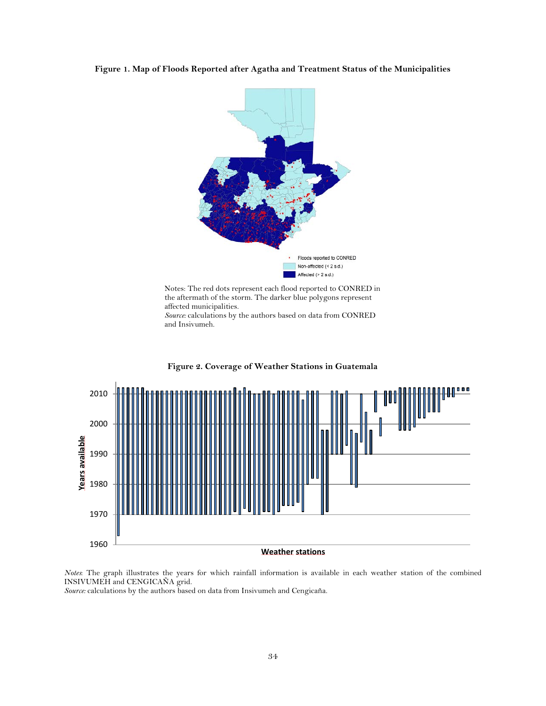### **Figure 1. Map of Floods Reported after Agatha and Treatment Status of the Municipalities**



Notes: The red dots represent each flood reported to CONRED in the aftermath of the storm. The darker blue polygons represent affected municipalities. *Source:* calculations by the authors based on data from CONRED

and Insivumeh.





*Notes*: The graph illustrates the years for which rainfall information is available in each weather station of the combined INSIVUMEH and CENGICAÑA grid.

*Source:* calculations by the authors based on data from Insivumeh and Cengicaña.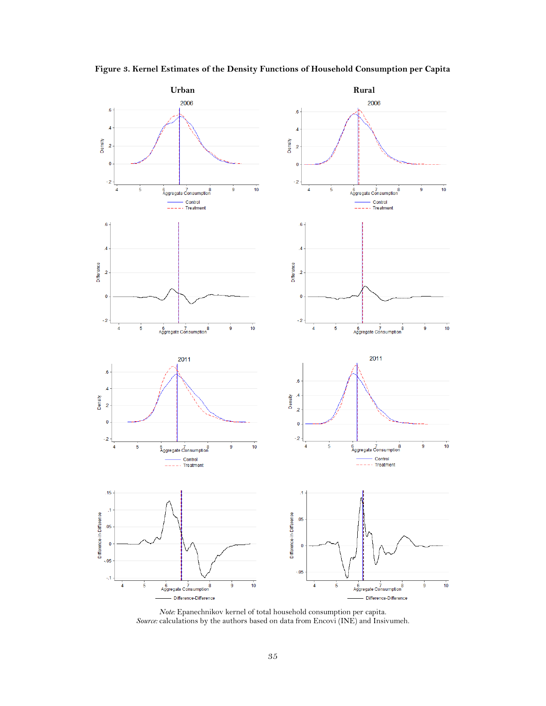

**Figure 3. Kernel Estimates of the Density Functions of Household Consumption per Capita**

*Source:* calculations by the authors based on data from Encovi (INE) and Insivumeh.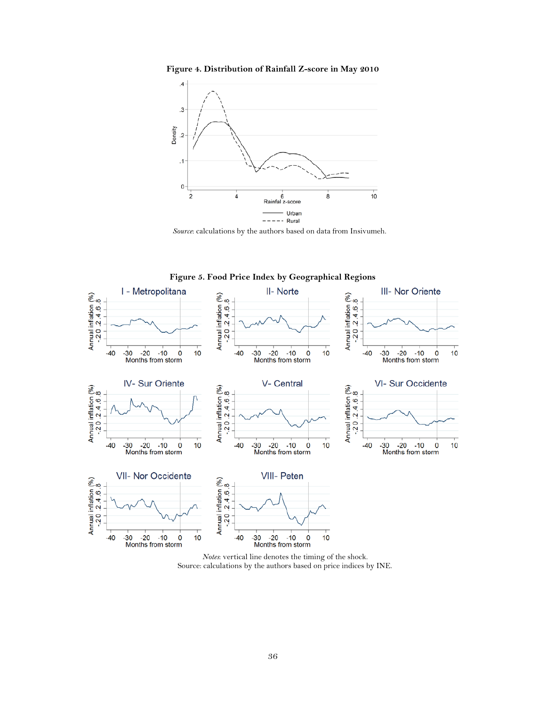**Figure 4. Distribution of Rainfall Z-score in May 2010** 



*Source*: calculations by the authors based on data from Insivumeh.



**Figure 5. Food Price Index by Geographical Regions**

*Notes*: vertical line denotes the timing of the shock. Source: calculations by the authors based on price indices by INE.